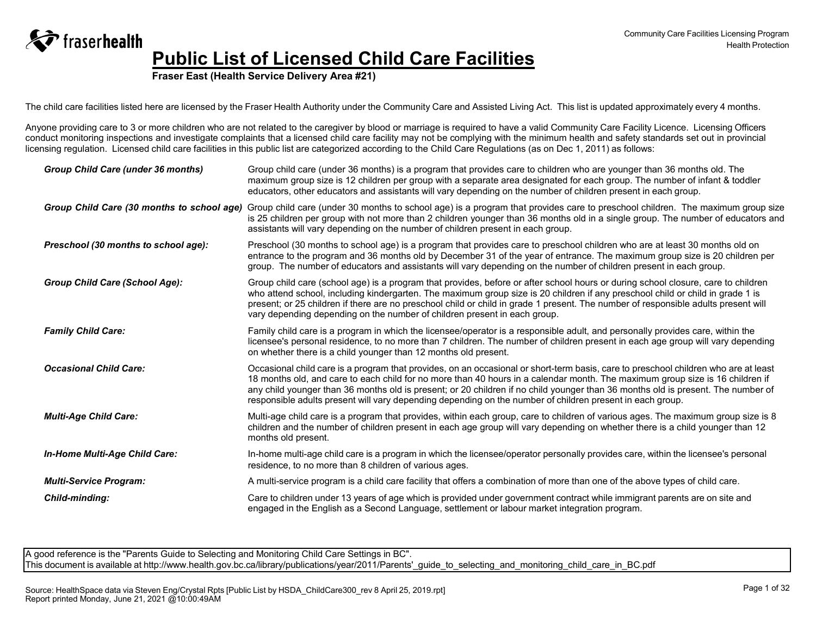**Fraser East (Health Service Delivery Area #21)**

The child care facilities listed here are licensed by the Fraser Health Authority under the Community Care and Assisted Living Act. This list is updated approximately every 4 months.

Anyone providing care to 3 or more children who are not related to the caregiver by blood or marriage is required to have a valid Community Care Facility Licence. Licensing Officers conduct monitoring inspections and investigate complaints that a licensed child care facility may not be complying with the minimum health and safety standards set out in provincial licensing regulation. Licensed child care facilities in this public list are categorized according to the Child Care Regulations (as on Dec 1, 2011) as follows:

| Group Child Care (under 36 months)         | Group child care (under 36 months) is a program that provides care to children who are younger than 36 months old. The<br>maximum group size is 12 children per group with a separate area designated for each group. The number of infant & toddler<br>educators, other educators and assistants will vary depending on the number of children present in each group.                                                                                                                                                |
|--------------------------------------------|-----------------------------------------------------------------------------------------------------------------------------------------------------------------------------------------------------------------------------------------------------------------------------------------------------------------------------------------------------------------------------------------------------------------------------------------------------------------------------------------------------------------------|
| Group Child Care (30 months to school age) | Group child care (under 30 months to school age) is a program that provides care to preschool children. The maximum group size<br>is 25 children per group with not more than 2 children younger than 36 months old in a single group. The number of educators and<br>assistants will vary depending on the number of children present in each group.                                                                                                                                                                 |
| Preschool (30 months to school age):       | Preschool (30 months to school age) is a program that provides care to preschool children who are at least 30 months old on<br>entrance to the program and 36 months old by December 31 of the year of entrance. The maximum group size is 20 children per<br>group. The number of educators and assistants will vary depending on the number of children present in each group.                                                                                                                                      |
| <b>Group Child Care (School Age):</b>      | Group child care (school age) is a program that provides, before or after school hours or during school closure, care to children<br>who attend school, including kindergarten. The maximum group size is 20 children if any preschool child or child in grade 1 is<br>present; or 25 children if there are no preschool child or child in grade 1 present. The number of responsible adults present will<br>vary depending depending on the number of children present in each group.                                |
| <b>Family Child Care:</b>                  | Family child care is a program in which the licensee/operator is a responsible adult, and personally provides care, within the<br>licensee's personal residence, to no more than 7 children. The number of children present in each age group will vary depending<br>on whether there is a child younger than 12 months old present.                                                                                                                                                                                  |
| <b>Occasional Child Care:</b>              | Occasional child care is a program that provides, on an occasional or short-term basis, care to preschool children who are at least<br>18 months old, and care to each child for no more than 40 hours in a calendar month. The maximum group size is 16 children if<br>any child younger than 36 months old is present; or 20 children if no child younger than 36 months old is present. The number of<br>responsible adults present will vary depending depending on the number of children present in each group. |
| <b>Multi-Age Child Care:</b>               | Multi-age child care is a program that provides, within each group, care to children of various ages. The maximum group size is 8<br>children and the number of children present in each age group will vary depending on whether there is a child younger than 12<br>months old present.                                                                                                                                                                                                                             |
| In-Home Multi-Age Child Care:              | In-home multi-age child care is a program in which the licensee/operator personally provides care, within the licensee's personal<br>residence, to no more than 8 children of various ages.                                                                                                                                                                                                                                                                                                                           |
| <b>Multi-Service Program:</b>              | A multi-service program is a child care facility that offers a combination of more than one of the above types of child care.                                                                                                                                                                                                                                                                                                                                                                                         |
| Child-minding:                             | Care to children under 13 years of age which is provided under government contract while immigrant parents are on site and<br>engaged in the English as a Second Language, settlement or labour market integration program.                                                                                                                                                                                                                                                                                           |

A good reference is the "Parents Guide to Selecting and Monitoring Child Care Settings in BC". This document is available at http://www.health.gov.bc.ca/library/publications/year/2011/Parents' quide\_to\_selecting\_and\_monitoring\_child\_care\_in\_BC.pdf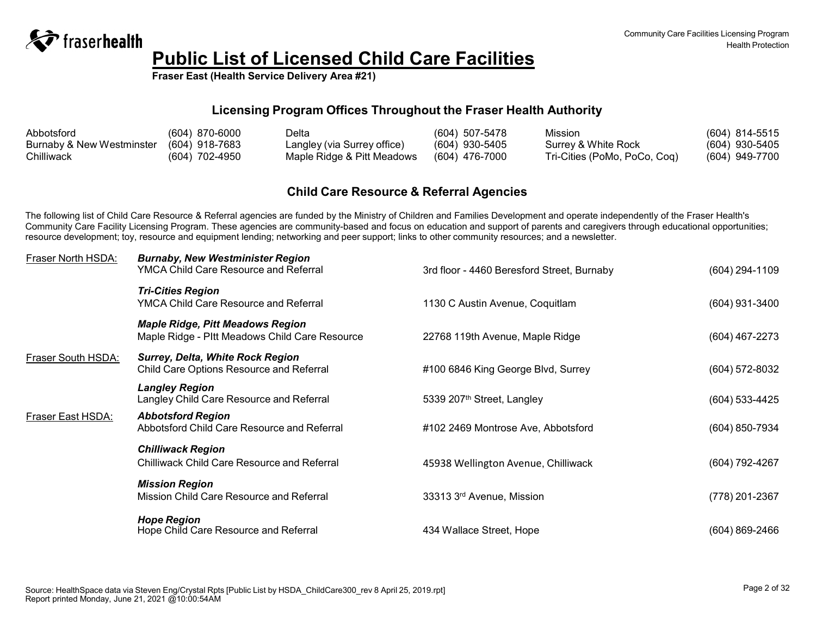

**Fraser East (Health Service Delivery Area #21)**

### **Licensing Program Offices Throughout the Fraser Health Authority**

| Abbotsford                | $(604)$ 870-6000 | Delta                       | $(604)$ 507-5478 | Mission                      | (604) 814-5515   |
|---------------------------|------------------|-----------------------------|------------------|------------------------------|------------------|
| Burnaby & New Westminster | (604) 918-7683   | Langley (via Surrey office) | $(604)$ 930-5405 | Surrey & White Rock          | $(604)$ 930-5405 |
| Chilliwack                | (604) 702-4950   | Maple Ridge & Pitt Meadows  | $(604)$ 476-7000 | Tri-Cities (PoMo, PoCo, Coq) | (604) 949-7700   |

### **Child Care Resource & Referral Agencies**

The following list of Child Care Resource & Referral agencies are funded by the Ministry of Children and Families Development and operate independently of the Fraser Health's Community Care Facility Licensing Program. These agencies are community-based and focus on education and support of parents and caregivers through educational opportunities; resource development; toy, resource and equipment lending; networking and peer support; links to other community resources; and a newsletter.

| Fraser North HSDA: | <b>Burnaby, New Westminister Region</b><br><b>YMCA Child Care Resource and Referral</b>   | 3rd floor - 4460 Beresford Street, Burnaby | (604) 294-1109 |
|--------------------|-------------------------------------------------------------------------------------------|--------------------------------------------|----------------|
|                    | <b>Tri-Cities Region</b><br><b>YMCA Child Care Resource and Referral</b>                  | 1130 C Austin Avenue, Coquitlam            | (604) 931-3400 |
|                    | <b>Maple Ridge, Pitt Meadows Region</b><br>Maple Ridge - Pltt Meadows Child Care Resource | 22768 119th Avenue, Maple Ridge            | (604) 467-2273 |
| Fraser South HSDA: | <b>Surrey, Delta, White Rock Region</b><br>Child Care Options Resource and Referral       | #100 6846 King George Blvd, Surrey         | (604) 572-8032 |
|                    | <b>Langley Region</b><br>Langley Child Care Resource and Referral                         | 5339 207 <sup>th</sup> Street, Langley     | (604) 533-4425 |
| Fraser East HSDA:  | <b>Abbotsford Region</b><br>Abbotsford Child Care Resource and Referral                   | #102 2469 Montrose Ave, Abbotsford         | (604) 850-7934 |
|                    | <b>Chilliwack Region</b><br><b>Chilliwack Child Care Resource and Referral</b>            | 45938 Wellington Avenue, Chilliwack        | (604) 792-4267 |
|                    | <b>Mission Region</b><br>Mission Child Care Resource and Referral                         | 33313 3rd Avenue, Mission                  | (778) 201-2367 |
|                    | <b>Hope Region</b><br>Hope Child Care Resource and Referral                               | 434 Wallace Street, Hope                   | (604) 869-2466 |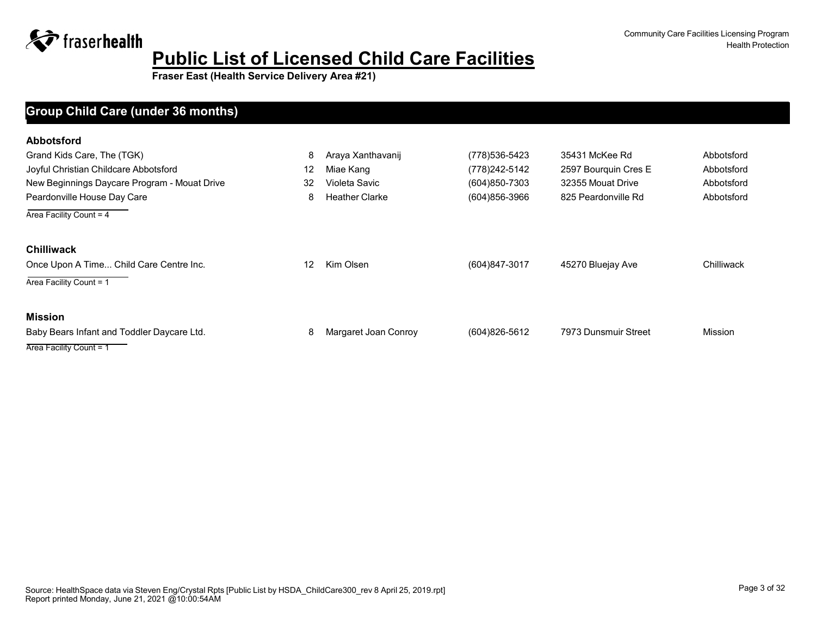**Fraser East (Health Service Delivery Area #21)**

### **Facility Name Max Capacity at One Time Manager Phone Address Group Child Care (under 36 months)**

| <b>Abbotsford</b>                            |                   |                       |                |                      |                |
|----------------------------------------------|-------------------|-----------------------|----------------|----------------------|----------------|
| Grand Kids Care, The (TGK)                   | 8                 | Araya Xanthavanij     | (778) 536-5423 | 35431 McKee Rd       | Abbotsford     |
| Joyful Christian Childcare Abbotsford        | 12                | Miae Kang             | (778) 242-5142 | 2597 Bourquin Cres E | Abbotsford     |
| New Beginnings Daycare Program - Mouat Drive | 32                | Violeta Savic         | (604)850-7303  | 32355 Mouat Drive    | Abbotsford     |
| Peardonville House Day Care                  | 8                 | <b>Heather Clarke</b> | (604)856-3966  | 825 Peardonville Rd  | Abbotsford     |
| Area Facility Count = 4                      |                   |                       |                |                      |                |
| <b>Chilliwack</b>                            |                   |                       |                |                      |                |
| Once Upon A Time Child Care Centre Inc.      | $12 \overline{ }$ | Kim Olsen             | (604)847-3017  | 45270 Bluejay Ave    | Chilliwack     |
| Area Facility Count = 1                      |                   |                       |                |                      |                |
| <b>Mission</b>                               |                   |                       |                |                      |                |
| Baby Bears Infant and Toddler Daycare Ltd.   | 8                 | Margaret Joan Conroy  | (604) 826-5612 | 7973 Dunsmuir Street | <b>Mission</b> |
| Area Facility Count = 1                      |                   |                       |                |                      |                |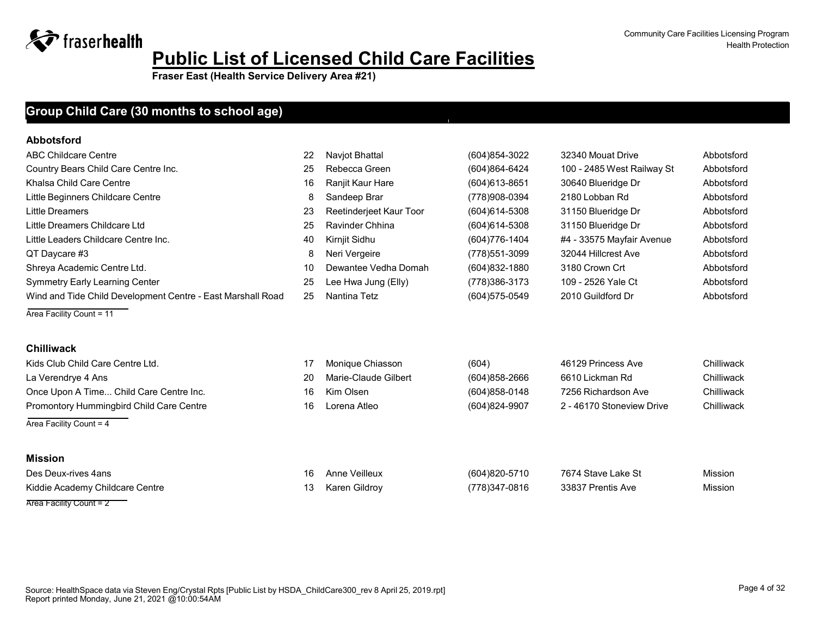Community Care Facilities Licensing Program Health Protection

**Fraser East (Health Service Delivery Area #21)**

### Group Child Care (30 months to school age)

#### **Abbotsford**

| ABC Childcare Centre                                        | 22 | Naviot Bhattal          | (604) 854-3022    | 32340 Mouat Drive          | Abbotsford |
|-------------------------------------------------------------|----|-------------------------|-------------------|----------------------------|------------|
| Country Bears Child Care Centre Inc.                        | 25 | Rebecca Green           | (604)864-6424     | 100 - 2485 West Railway St | Abbotsford |
| Khalsa Child Care Centre                                    | 16 | Ranjit Kaur Hare        | $(604)613 - 8651$ | 30640 Blueridge Dr         | Abbotsford |
| Little Beginners Childcare Centre                           | 8  | Sandeep Brar            | (778)908-0394     | 2180 Lobban Rd             | Abbotsford |
| Little Dreamers                                             | 23 | Reetinderjeet Kaur Toor | $(604)614 - 5308$ | 31150 Blueridge Dr         | Abbotsford |
| Little Dreamers Childcare Ltd                               | 25 | Ravinder Chhina         | $(604)614 - 5308$ | 31150 Blueridge Dr         | Abbotsford |
| Little Leaders Childcare Centre Inc.                        | 40 | Kirnjit Sidhu           | (604) 776-1404    | #4 - 33575 Mayfair Avenue  | Abbotsford |
| QT Daycare #3                                               | 8  | Neri Vergeire           | (778)551-3099     | 32044 Hillcrest Ave        | Abbotsford |
| Shreya Academic Centre Ltd.                                 | 10 | Dewantee Vedha Domah    | $(604)832 - 1880$ | 3180 Crown Crt             | Abbotsford |
| <b>Symmetry Early Learning Center</b>                       | 25 | Lee Hwa Jung (Elly)     | (778)386-3173     | 109 - 2526 Yale Ct         | Abbotsford |
| Wind and Tide Child Development Centre - East Marshall Road | 25 | Nantina Tetz            | (604) 575-0549    | 2010 Guildford Dr          | Abbotsford |
| Area Facility Count = 11                                    |    |                         |                   |                            |            |
| <b>Chilliwack</b>                                           |    |                         |                   |                            |            |
| Kids Club Child Care Centre Ltd.                            | 17 | Monique Chiasson        | (604)             | 46129 Princess Ave         | Chilliwack |
| La Verendrye 4 Ans                                          | 20 | Marie-Claude Gilbert    | (604) 858-2666    | 6610 Lickman Rd            | Chilliwack |

Once Upon A Time... Child Care Centre Inc. 16 Kim Olsen 16 Kim Olsen (604)858-0148 7256 Richardson Ave Chilliwack Promontory Hummingbird Child Care Centre 16 Lorena Atleo (604)824-9907 2 - 46170 Stoneview Drive Chilliwack

Area Facility Count = 4

#### **Mission**

| Des Deux-rives 4ans             | 16 | Anne Veilleux | (604)820-5710 | 7674 Stave Lake St | <b>Mission</b> |
|---------------------------------|----|---------------|---------------|--------------------|----------------|
| Kiddie Academy Childcare Centre |    | Karen Gildrov | (778)347-0816 | 33837 Prentis Ave  | Mission        |
| Area Facility Count = 2         |    |               |               |                    |                |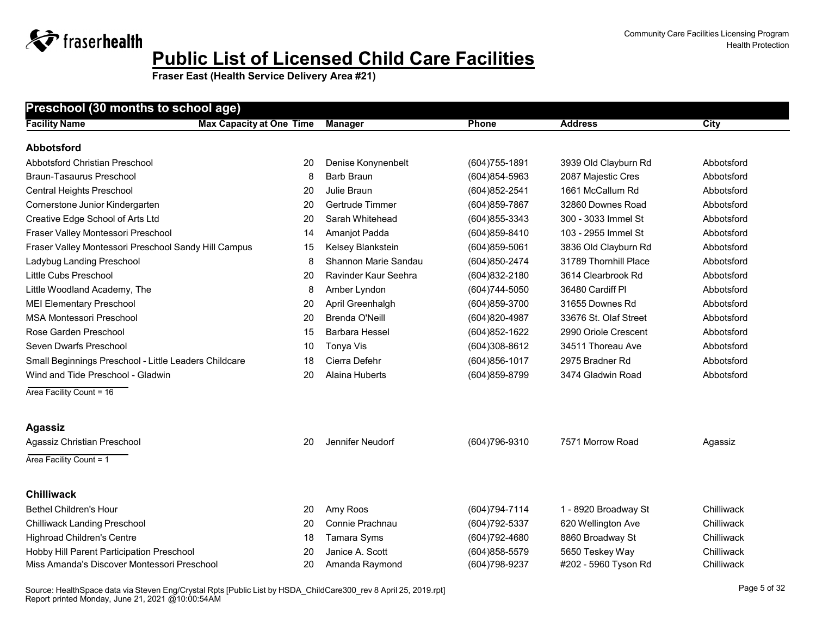**Fraser East (Health Service Delivery Area #21)**

| <b>Facility Name</b>                                  | <b>Max Capacity at One Time</b> | <b>Manager</b>              | <b>Phone</b>   | <b>Address</b>        | <b>City</b> |
|-------------------------------------------------------|---------------------------------|-----------------------------|----------------|-----------------------|-------------|
| <b>Abbotsford</b>                                     |                                 |                             |                |                       |             |
| Abbotsford Christian Preschool                        | 20                              | Denise Konynenbelt          | (604) 755-1891 | 3939 Old Clayburn Rd  | Abbotsford  |
| Braun-Tasaurus Preschool                              | 8                               | Barb Braun                  | (604)854-5963  | 2087 Majestic Cres    | Abbotsford  |
| <b>Central Heights Preschool</b>                      | 20                              | Julie Braun                 | (604) 852-2541 | 1661 McCallum Rd      | Abbotsford  |
| Cornerstone Junior Kindergarten                       | 20                              | Gertrude Timmer             | (604) 859-7867 | 32860 Downes Road     | Abbotsford  |
| Creative Edge School of Arts Ltd                      | 20                              | Sarah Whitehead             | (604) 855-3343 | 300 - 3033 Immel St   | Abbotsford  |
| Fraser Valley Montessori Preschool                    | 14                              | Amanjot Padda               | (604) 859-8410 | 103 - 2955 Immel St   | Abbotsford  |
| Fraser Valley Montessori Preschool Sandy Hill Campus  | 15                              | Kelsey Blankstein           | (604)859-5061  | 3836 Old Clayburn Rd  | Abbotsford  |
| Ladybug Landing Preschool                             | 8                               | <b>Shannon Marie Sandau</b> | (604) 850-2474 | 31789 Thornhill Place | Abbotsford  |
| Little Cubs Preschool                                 | 20                              | Ravinder Kaur Seehra        | (604)832-2180  | 3614 Clearbrook Rd    | Abbotsford  |
| Little Woodland Academy, The                          | 8                               | Amber Lyndon                | (604) 744-5050 | 36480 Cardiff Pl      | Abbotsford  |
| <b>MEI Elementary Preschool</b>                       | 20                              | April Greenhalgh            | (604)859-3700  | 31655 Downes Rd       | Abbotsford  |
| <b>MSA Montessori Preschool</b>                       | 20                              | Brenda O'Neill              | (604)820-4987  | 33676 St. Olaf Street | Abbotsford  |
| Rose Garden Preschool                                 | 15                              | <b>Barbara Hessel</b>       | (604) 852-1622 | 2990 Oriole Crescent  | Abbotsford  |
| Seven Dwarfs Preschool                                | 10                              | Tonya Vis                   | (604)308-8612  | 34511 Thoreau Ave     | Abbotsford  |
| Small Beginnings Preschool - Little Leaders Childcare | 18                              | Cierra Defehr               | (604) 856-1017 | 2975 Bradner Rd       | Abbotsford  |
| Wind and Tide Preschool - Gladwin                     | 20                              | Alaina Huberts              | (604) 859-8799 | 3474 Gladwin Road     | Abbotsford  |
| Area Facility Count = 16                              |                                 |                             |                |                       |             |
| <b>Agassiz</b>                                        |                                 |                             |                |                       |             |
| Agassiz Christian Preschool                           | 20                              | Jennifer Neudorf            | (604) 796-9310 | 7571 Morrow Road      | Agassiz     |
| Area Facility Count = 1                               |                                 |                             |                |                       |             |
| <b>Chilliwack</b>                                     |                                 |                             |                |                       |             |
| <b>Bethel Children's Hour</b>                         | 20                              | Amy Roos                    | (604) 794-7114 | 1 - 8920 Broadway St  | Chilliwack  |
| <b>Chilliwack Landing Preschool</b>                   | 20                              | Connie Prachnau             | (604) 792-5337 | 620 Wellington Ave    | Chilliwack  |
| <b>Highroad Children's Centre</b>                     | 18                              | Tamara Syms                 | (604) 792-4680 | 8860 Broadway St      | Chilliwack  |
| Hobby Hill Parent Participation Preschool             | 20                              | Janice A. Scott             | (604) 858-5579 | 5650 Teskey Way       | Chilliwack  |
| Miss Amanda's Discover Montessori Preschool           | 20                              | Amanda Raymond              | (604) 798-9237 | #202 - 5960 Tyson Rd  | Chilliwack  |

Source: HealthSpace data via Steven Eng/Crystal Rpts [Public List by HSDA\_ChildCare300\_rev 8 April 25, 2019.rpt] Report printed Monday, June 21, 2021 @10:00:54AM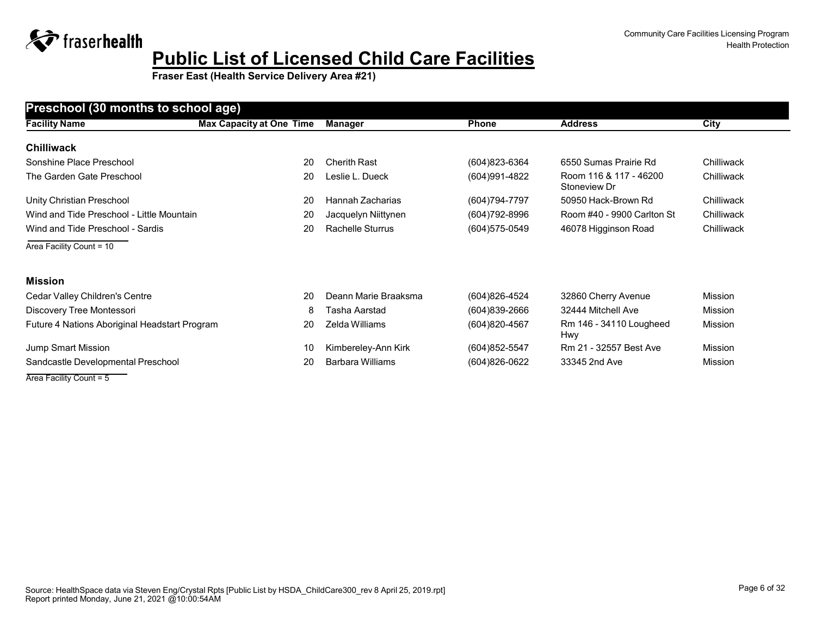**Fraser East (Health Service Delivery Area #21)**

| Preschool (30 months to school age)           |                                 |                         |                   |                                        |             |  |
|-----------------------------------------------|---------------------------------|-------------------------|-------------------|----------------------------------------|-------------|--|
| <b>Facility Name</b>                          | <b>Max Capacity at One Time</b> | <b>Manager</b>          | <b>Phone</b>      | <b>Address</b>                         | <b>City</b> |  |
| <b>Chilliwack</b>                             |                                 |                         |                   |                                        |             |  |
| Sonshine Place Preschool                      | 20                              | <b>Cherith Rast</b>     | (604) 823-6364    | 6550 Sumas Prairie Rd                  | Chilliwack  |  |
| The Garden Gate Preschool                     | 20                              | Leslie L. Dueck         | (604) 991-4822    | Room 116 & 117 - 46200<br>Stoneview Dr | Chilliwack  |  |
| Unity Christian Preschool                     | 20                              | Hannah Zacharias        | (604) 794-7797    | 50950 Hack-Brown Rd                    | Chilliwack  |  |
| Wind and Tide Preschool - Little Mountain     | 20                              | Jacquelyn Niittynen     | (604) 792-8996    | Room #40 - 9900 Carlton St             | Chilliwack  |  |
| Wind and Tide Preschool - Sardis              | 20                              | <b>Rachelle Sturrus</b> | (604) 575-0549    | 46078 Higginson Road                   | Chilliwack  |  |
| Area Facility Count = 10                      |                                 |                         |                   |                                        |             |  |
| <b>Mission</b>                                |                                 |                         |                   |                                        |             |  |
| Cedar Valley Children's Centre                | 20                              | Deann Marie Braaksma    | (604)826-4524     | 32860 Cherry Avenue                    | Mission     |  |
| Discovery Tree Montessori                     | 8                               | Tasha Aarstad           | (604)839-2666     | 32444 Mitchell Ave                     | Mission     |  |
| Future 4 Nations Aboriginal Headstart Program | 20                              | Zelda Williams          | $(604)820 - 4567$ | Rm 146 - 34110 Lougheed<br>Hwy         | Mission     |  |
| Jump Smart Mission                            | 10                              | Kimbereley-Ann Kirk     | $(604)852 - 5547$ | Rm 21 - 32557 Best Ave                 | Mission     |  |
| Sandcastle Developmental Preschool            | 20                              | Barbara Williams        | $(604)826-0622$   | 33345 2nd Ave                          | Mission     |  |

Area Facility Count = 5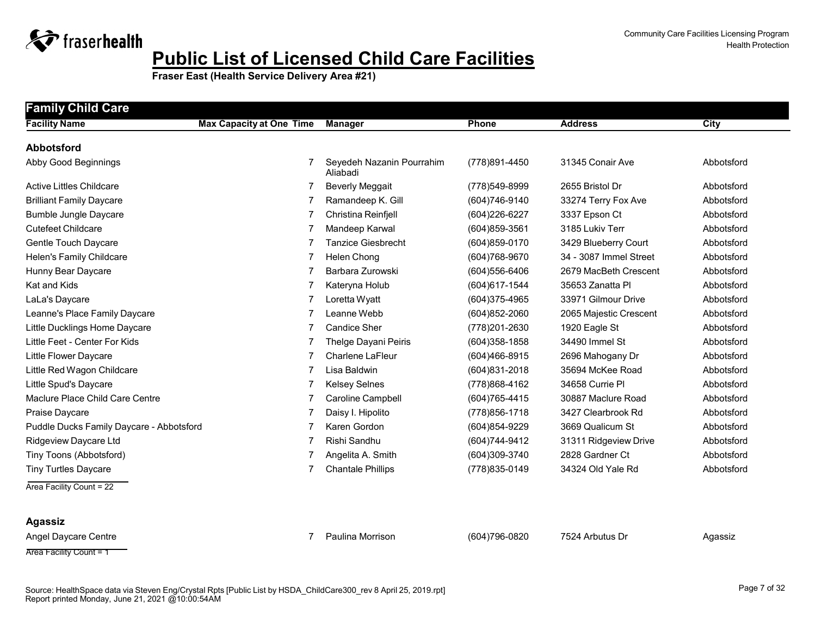

**Fraser East (Health Service Delivery Area #21)**

| <b>Facility Name</b>                     | <b>Max Capacity at One Time</b> | Manager                               | <b>Phone</b>      | <b>Address</b>         | <b>City</b> |
|------------------------------------------|---------------------------------|---------------------------------------|-------------------|------------------------|-------------|
| <b>Abbotsford</b>                        |                                 |                                       |                   |                        |             |
| Abby Good Beginnings                     |                                 | Seyedeh Nazanin Pourrahim<br>Aliabadi | (778)891-4450     | 31345 Conair Ave       | Abbotsford  |
| Active Littles Childcare                 | 7                               | <b>Beverly Meggait</b>                | (778)549-8999     | 2655 Bristol Dr        | Abbotsford  |
| <b>Brilliant Family Daycare</b>          |                                 | Ramandeep K. Gill                     | (604) 746-9140    | 33274 Terry Fox Ave    | Abbotsford  |
| <b>Bumble Jungle Daycare</b>             |                                 | Christina Reinfjell                   | (604) 226-6227    | 3337 Epson Ct          | Abbotsford  |
| <b>Cutefeet Childcare</b>                |                                 | Mandeep Karwal                        | (604)859-3561     | 3185 Lukiv Terr        | Abbotsford  |
| Gentle Touch Daycare                     | 7                               | <b>Tanzice Giesbrecht</b>             | $(604)859-0170$   | 3429 Blueberry Court   | Abbotsford  |
| Helen's Family Childcare                 | 7                               | Helen Chong                           | (604) 768-9670    | 34 - 3087 Immel Street | Abbotsford  |
| Hunny Bear Daycare                       |                                 | Barbara Zurowski                      | (604) 556-6406    | 2679 MacBeth Crescent  | Abbotsford  |
| Kat and Kids                             | 7                               | Kateryna Holub                        | $(604)617 - 1544$ | 35653 Zanatta Pl       | Abbotsford  |
| LaLa's Daycare                           |                                 | Loretta Wyatt                         | (604)375-4965     | 33971 Gilmour Drive    | Abbotsford  |
| Leanne's Place Family Daycare            | 7                               | Leanne Webb                           | $(604)852 - 2060$ | 2065 Majestic Crescent | Abbotsford  |
| Little Ducklings Home Daycare            |                                 | <b>Candice Sher</b>                   | (778) 201-2630    | 1920 Eagle St          | Abbotsford  |
| Little Feet - Center For Kids            |                                 | Thelge Dayani Peiris                  | (604) 358-1858    | 34490 Immel St         | Abbotsford  |
| Little Flower Daycare                    | 7                               | <b>Charlene LaFleur</b>               | $(604)466 - 8915$ | 2696 Mahogany Dr       | Abbotsford  |
| Little Red Wagon Childcare               |                                 | Lisa Baldwin                          | (604) 831-2018    | 35694 McKee Road       | Abbotsford  |
| Little Spud's Daycare                    | 7                               | <b>Kelsey Selnes</b>                  | (778) 868-4162    | 34658 Currie Pl        | Abbotsford  |
| Maclure Place Child Care Centre          |                                 | Caroline Campbell                     | (604) 765-4415    | 30887 Maclure Road     | Abbotsford  |
| Praise Daycare                           |                                 | Daisy I. Hipolito                     | (778) 856-1718    | 3427 Clearbrook Rd     | Abbotsford  |
| Puddle Ducks Family Daycare - Abbotsford | 7                               | Karen Gordon                          | (604) 854-9229    | 3669 Qualicum St       | Abbotsford  |
| Ridgeview Daycare Ltd                    |                                 | Rishi Sandhu                          | (604) 744-9412    | 31311 Ridgeview Drive  | Abbotsford  |
| Tiny Toons (Abbotsford)                  | 7                               | Angelita A. Smith                     | (604)309-3740     | 2828 Gardner Ct        | Abbotsford  |
| <b>Tiny Turtles Daycare</b>              |                                 | <b>Chantale Phillips</b>              | (778) 835-0149    | 34324 Old Yale Rd      | Abbotsford  |

**Agassiz**

Angel Daycare Centre **7 Paulina Morrison** 7 Paulina Morrison (604)796-0820 7524 Arbutus Dr Agassiz

Area Facility Count = 1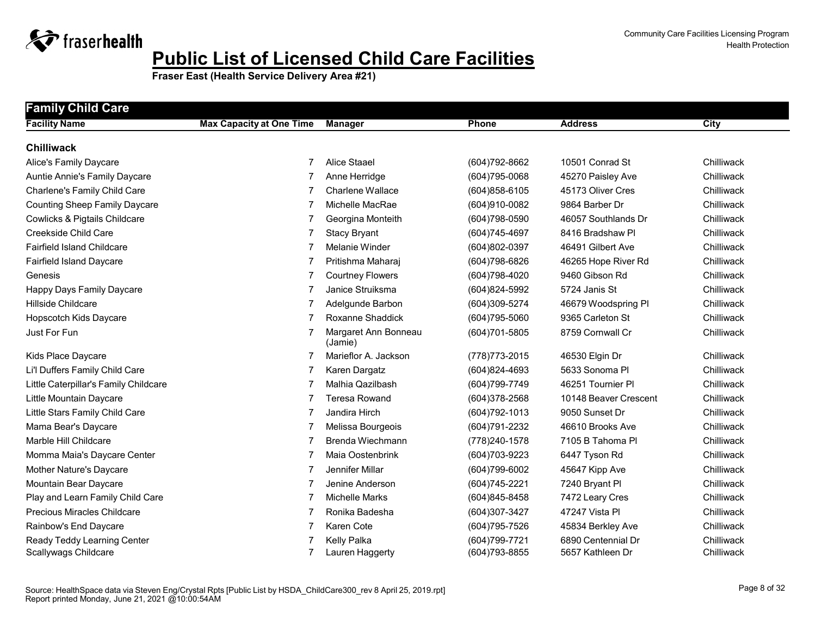

| <b>Family Child Care</b>              |                                 |                                 |                   |                       |            |
|---------------------------------------|---------------------------------|---------------------------------|-------------------|-----------------------|------------|
| <b>Facility Name</b>                  | <b>Max Capacity at One Time</b> | <b>Manager</b>                  | Phone             | <b>Address</b>        | City       |
| <b>Chilliwack</b>                     |                                 |                                 |                   |                       |            |
| Alice's Family Daycare                | 7                               | <b>Alice Staael</b>             | (604) 792-8662    | 10501 Conrad St       | Chilliwack |
| Auntie Annie's Family Daycare         | 7                               | Anne Herridge                   | (604) 795-0068    | 45270 Paisley Ave     | Chilliwack |
| Charlene's Family Child Care          | 7                               | Charlene Wallace                | (604) 858-6105    | 45173 Oliver Cres     | Chilliwack |
| <b>Counting Sheep Family Daycare</b>  |                                 | Michelle MacRae                 | (604)910-0082     | 9864 Barber Dr        | Chilliwack |
| Cowlicks & Pigtails Childcare         |                                 | Georgina Monteith               | (604) 798-0590    | 46057 Southlands Dr   | Chilliwack |
| Creekside Child Care                  | 7                               | <b>Stacy Bryant</b>             | (604) 745-4697    | 8416 Bradshaw Pl      | Chilliwack |
| <b>Fairfield Island Childcare</b>     | 7                               | <b>Melanie Winder</b>           | (604)802-0397     | 46491 Gilbert Ave     | Chilliwack |
| Fairfield Island Daycare              | 7                               | Pritishma Maharaj               | (604) 798-6826    | 46265 Hope River Rd   | Chilliwack |
| Genesis                               | 7                               | <b>Courtney Flowers</b>         | (604) 798-4020    | 9460 Gibson Rd        | Chilliwack |
| Happy Days Family Daycare             | 7                               | Janice Struiksma                | (604)824-5992     | 5724 Janis St         | Chilliwack |
| Hillside Childcare                    |                                 | Adelgunde Barbon                | (604)309-5274     | 46679 Woodspring PI   | Chilliwack |
| Hopscotch Kids Daycare                | $\overline{7}$                  | Roxanne Shaddick                | $(604)795 - 5060$ | 9365 Carleton St      | Chilliwack |
| Just For Fun                          | 7                               | Margaret Ann Bonneau<br>(Jamie) | (604)701-5805     | 8759 Cornwall Cr      | Chilliwack |
| Kids Place Daycare                    | 7                               | Marieflor A. Jackson            | (778) 773-2015    | 46530 Elgin Dr        | Chilliwack |
| Li'l Duffers Family Child Care        |                                 | Karen Dargatz                   | (604)824-4693     | 5633 Sonoma Pl        | Chilliwack |
| Little Caterpillar's Family Childcare | 7                               | Malhia Qazilbash                | (604) 799-7749    | 46251 Tournier Pl     | Chilliwack |
| Little Mountain Daycare               | 7                               | <b>Teresa Rowand</b>            | (604)378-2568     | 10148 Beaver Crescent | Chilliwack |
| Little Stars Family Child Care        | 7                               | Jandira Hirch                   | (604) 792-1013    | 9050 Sunset Dr        | Chilliwack |
| Mama Bear's Daycare                   | 7                               | Melissa Bourgeois               | (604) 791-2232    | 46610 Brooks Ave      | Chilliwack |
| Marble Hill Childcare                 | 7                               | Brenda Wiechmann                | (778) 240-1578    | 7105 B Tahoma Pl      | Chilliwack |
| Momma Maia's Daycare Center           |                                 | Maia Oostenbrink                | (604) 703-9223    | 6447 Tyson Rd         | Chilliwack |
| Mother Nature's Daycare               | 7                               | Jennifer Millar                 | (604) 799-6002    | 45647 Kipp Ave        | Chilliwack |
| Mountain Bear Daycare                 | $\overline{7}$                  | Jenine Anderson                 | (604) 745-2221    | 7240 Bryant Pl        | Chilliwack |
| Play and Learn Family Child Care      |                                 | <b>Michelle Marks</b>           | $(604)845 - 8458$ | 7472 Leary Cres       | Chilliwack |
| <b>Precious Miracles Childcare</b>    |                                 | Ronika Badesha                  | (604)307-3427     | 47247 Vista Pl        | Chilliwack |
| Rainbow's End Daycare                 | 7                               | Karen Cote                      | (604) 795-7526    | 45834 Berkley Ave     | Chilliwack |
| Ready Teddy Learning Center           |                                 | Kelly Palka                     | (604) 799-7721    | 6890 Centennial Dr    | Chilliwack |
| Scallywags Childcare                  |                                 | Lauren Haggerty                 | (604) 793-8855    | 5657 Kathleen Dr      | Chilliwack |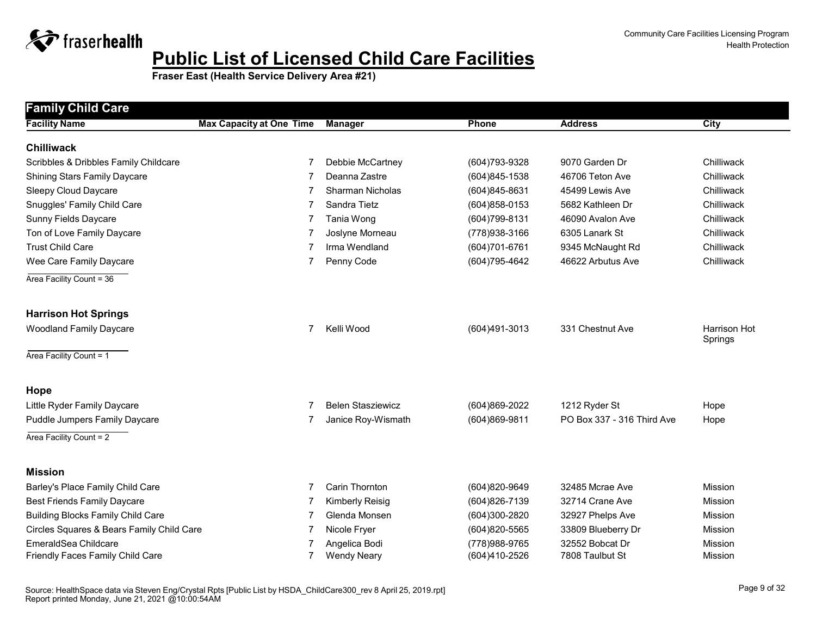

| <b>Family Child Care</b>                  |                                 |                          |                |                            |                |
|-------------------------------------------|---------------------------------|--------------------------|----------------|----------------------------|----------------|
| <b>Facility Name</b>                      | <b>Max Capacity at One Time</b> | <b>Manager</b>           | Phone          | <b>Address</b>             | City           |
| <b>Chilliwack</b>                         |                                 |                          |                |                            |                |
| Scribbles & Dribbles Family Childcare     | 7                               | Debbie McCartney         | (604) 793-9328 | 9070 Garden Dr             | Chilliwack     |
| <b>Shining Stars Family Daycare</b>       |                                 | Deanna Zastre            | (604)845-1538  | 46706 Teton Ave            | Chilliwack     |
| Sleepy Cloud Daycare                      | 7                               | Sharman Nicholas         | (604)845-8631  | 45499 Lewis Ave            | Chilliwack     |
| Snuggles' Family Child Care               | 7                               | Sandra Tietz             | (604)858-0153  | 5682 Kathleen Dr           | Chilliwack     |
| <b>Sunny Fields Daycare</b>               |                                 | Tania Wong               | (604) 799-8131 | 46090 Avalon Ave           | Chilliwack     |
| Ton of Love Family Daycare                | 7                               | Joslyne Morneau          | (778) 938-3166 | 6305 Lanark St             | Chilliwack     |
| <b>Trust Child Care</b>                   | 7                               | Irma Wendland            | (604)701-6761  | 9345 McNaught Rd           | Chilliwack     |
| Wee Care Family Daycare                   | 7                               | Penny Code               | (604) 795-4642 | 46622 Arbutus Ave          | Chilliwack     |
| Area Facility Count = 36                  |                                 |                          |                |                            |                |
| <b>Harrison Hot Springs</b>               |                                 |                          |                |                            |                |
| <b>Woodland Family Daycare</b>            | 7                               | Kelli Wood               | (604)491-3013  | 331 Chestnut Ave           | Harrison Hot   |
| Area Facility Count = 1                   |                                 |                          |                |                            | Springs        |
| Hope                                      |                                 |                          |                |                            |                |
| Little Ryder Family Daycare               |                                 | <b>Belen Stasziewicz</b> | (604)869-2022  | 1212 Ryder St              | Hope           |
| Puddle Jumpers Family Daycare             | 7                               | Janice Roy-Wismath       | (604)869-9811  | PO Box 337 - 316 Third Ave | Hope           |
| Area Facility Count = 2                   |                                 |                          |                |                            |                |
| <b>Mission</b>                            |                                 |                          |                |                            |                |
| Barley's Place Family Child Care          | 7                               | Carin Thornton           | (604)820-9649  | 32485 Mcrae Ave            | Mission        |
| <b>Best Friends Family Daycare</b>        | 7                               | <b>Kimberly Reisig</b>   | (604)826-7139  | 32714 Crane Ave            | <b>Mission</b> |
| <b>Building Blocks Family Child Care</b>  | 7                               | Glenda Monsen            | (604)300-2820  | 32927 Phelps Ave           | Mission        |
| Circles Squares & Bears Family Child Care |                                 | Nicole Fryer             | (604)820-5565  | 33809 Blueberry Dr         | Mission        |
| EmeraldSea Childcare                      |                                 | Angelica Bodi            | (778) 988-9765 | 32552 Bobcat Dr            | Mission        |
| Friendly Faces Family Child Care          | 7                               | <b>Wendy Neary</b>       | (604)410-2526  | 7808 Taulbut St            | <b>Mission</b> |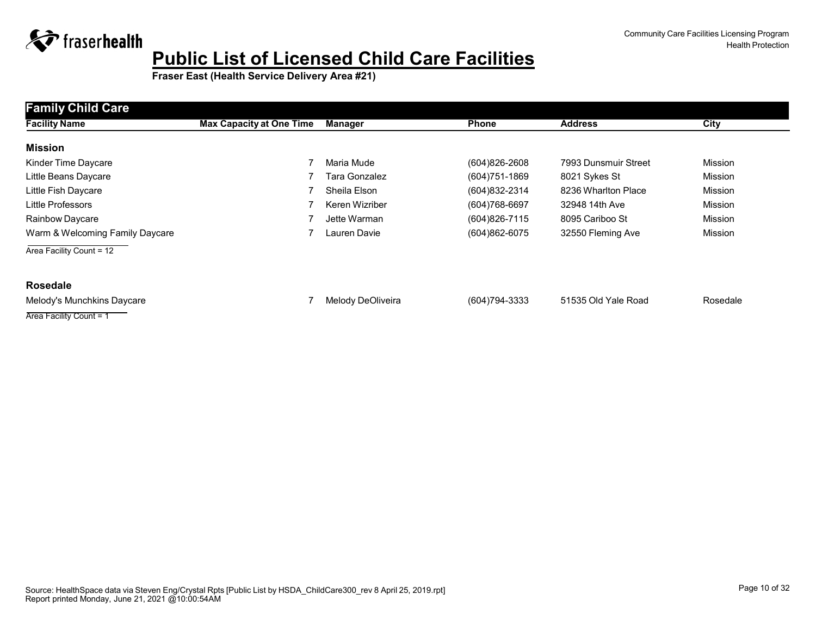

**Fraser East (Health Service Delivery Area #21)**

| <b>Family Child Care</b>        |                                 |                   |                   |                      |                |
|---------------------------------|---------------------------------|-------------------|-------------------|----------------------|----------------|
| <b>Facility Name</b>            | <b>Max Capacity at One Time</b> | Manager           | <b>Phone</b>      | <b>Address</b>       | City           |
| <b>Mission</b>                  |                                 |                   |                   |                      |                |
| Kinder Time Daycare             |                                 | Maria Mude        | $(604)826 - 2608$ | 7993 Dunsmuir Street | <b>Mission</b> |
| Little Beans Daycare            |                                 | Tara Gonzalez     | $(604)751 - 1869$ | 8021 Sykes St        | <b>Mission</b> |
| Little Fish Daycare             |                                 | Sheila Elson      | (604) 832-2314    | 8236 Wharlton Place  | <b>Mission</b> |
| <b>Little Professors</b>        |                                 | Keren Wizriber    | $(604)768-6697$   | 32948 14th Ave       | Mission        |
| Rainbow Daycare                 |                                 | Jette Warman      | (604) 826-7115    | 8095 Cariboo St      | <b>Mission</b> |
| Warm & Welcoming Family Daycare |                                 | Lauren Davie      | (604)862-6075     | 32550 Fleming Ave    | Mission        |
| Area Facility Count = 12        |                                 |                   |                   |                      |                |
| <b>Rosedale</b>                 |                                 |                   |                   |                      |                |
| Melody's Munchkins Daycare      |                                 | Melody DeOliveira | (604) 794-3333    | 51535 Old Yale Road  | Rosedale       |

Area Facility Count = 1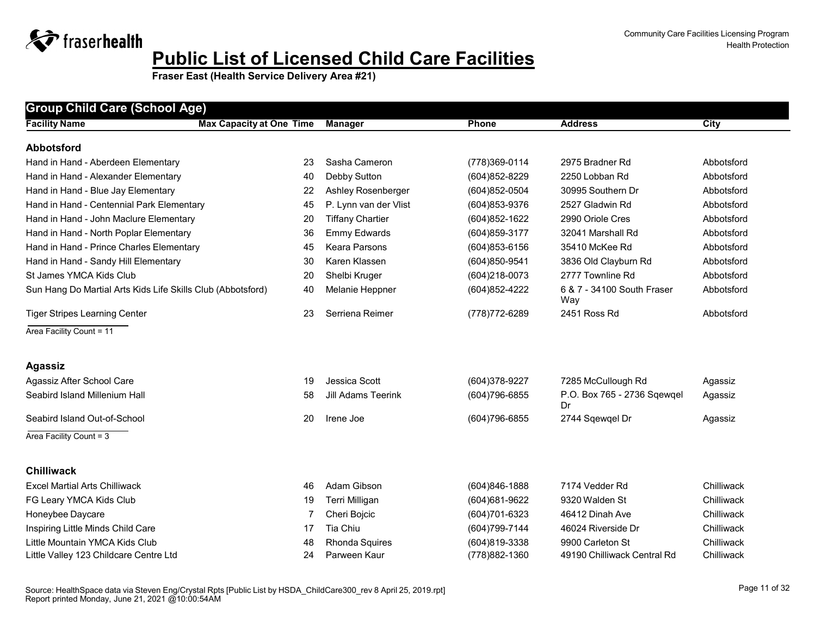| <b>Group Child Care (School Age)</b>                        |                                 |                           |                   |                                   |             |  |  |  |
|-------------------------------------------------------------|---------------------------------|---------------------------|-------------------|-----------------------------------|-------------|--|--|--|
| <b>Facility Name</b>                                        | <b>Max Capacity at One Time</b> | <b>Manager</b>            | Phone             | <b>Address</b>                    | <b>City</b> |  |  |  |
| <b>Abbotsford</b>                                           |                                 |                           |                   |                                   |             |  |  |  |
| Hand in Hand - Aberdeen Elementary                          | 23                              | Sasha Cameron             | (778)369-0114     | 2975 Bradner Rd                   | Abbotsford  |  |  |  |
| Hand in Hand - Alexander Elementary                         | 40                              | Debby Sutton              | $(604)852 - 8229$ | 2250 Lobban Rd                    | Abbotsford  |  |  |  |
| Hand in Hand - Blue Jay Elementary                          | 22                              | Ashley Rosenberger        | (604) 852-0504    | 30995 Southern Dr                 | Abbotsford  |  |  |  |
| Hand in Hand - Centennial Park Elementary                   | 45                              | P. Lynn van der Vlist     | (604) 853-9376    | 2527 Gladwin Rd                   | Abbotsford  |  |  |  |
| Hand in Hand - John Maclure Elementary                      | 20                              | <b>Tiffany Chartier</b>   | (604) 852-1622    | 2990 Oriole Cres                  | Abbotsford  |  |  |  |
| Hand in Hand - North Poplar Elementary                      | 36                              | <b>Emmy Edwards</b>       | (604) 859-3177    | 32041 Marshall Rd                 | Abbotsford  |  |  |  |
| Hand in Hand - Prince Charles Elementary                    | 45                              | <b>Keara Parsons</b>      | (604) 853-6156    | 35410 McKee Rd                    | Abbotsford  |  |  |  |
| Hand in Hand - Sandy Hill Elementary                        | 30                              | Karen Klassen             | (604)850-9541     | 3836 Old Clayburn Rd              | Abbotsford  |  |  |  |
| St James YMCA Kids Club                                     | 20                              | Shelbi Kruger             | (604)218-0073     | 2777 Townline Rd                  | Abbotsford  |  |  |  |
| Sun Hang Do Martial Arts Kids Life Skills Club (Abbotsford) | 40                              | Melanie Heppner           | (604) 852-4222    | 6 & 7 - 34100 South Fraser<br>Way | Abbotsford  |  |  |  |
| <b>Tiger Stripes Learning Center</b>                        | 23                              | Serriena Reimer           | (778) 772-6289    | 2451 Ross Rd                      | Abbotsford  |  |  |  |
| Area Facility Count = 11                                    |                                 |                           |                   |                                   |             |  |  |  |
|                                                             |                                 |                           |                   |                                   |             |  |  |  |
| <b>Agassiz</b>                                              |                                 |                           |                   |                                   |             |  |  |  |
| Agassiz After School Care                                   | 19                              | Jessica Scott             | (604)378-9227     | 7285 McCullough Rd                | Agassiz     |  |  |  |
| Seabird Island Millenium Hall                               | 58                              | <b>Jill Adams Teerink</b> | (604) 796-6855    | P.O. Box 765 - 2736 Sqewqel<br>Dr | Agassiz     |  |  |  |
| Seabird Island Out-of-School                                | 20                              | Irene Joe                 | (604) 796-6855    | 2744 Sqewqel Dr                   | Agassiz     |  |  |  |
| Area Facility Count = 3                                     |                                 |                           |                   |                                   |             |  |  |  |
|                                                             |                                 |                           |                   |                                   |             |  |  |  |
| <b>Chilliwack</b>                                           |                                 |                           |                   |                                   |             |  |  |  |
| <b>Excel Martial Arts Chilliwack</b>                        | 46                              | Adam Gibson               | (604)846-1888     | 7174 Vedder Rd                    | Chilliwack  |  |  |  |
| FG Leary YMCA Kids Club                                     | 19                              | Terri Milligan            | (604) 681-9622    | 9320 Walden St                    | Chilliwack  |  |  |  |
| Honeybee Daycare                                            | 7                               | Cheri Bojcic              | (604) 701-6323    | 46412 Dinah Ave                   | Chilliwack  |  |  |  |
| Inspiring Little Minds Child Care                           | 17                              | Tia Chiu                  | (604) 799-7144    | 46024 Riverside Dr                | Chilliwack  |  |  |  |
| Little Mountain YMCA Kids Club                              | 48                              | Rhonda Squires            | (604)819-3338     | 9900 Carleton St                  | Chilliwack  |  |  |  |
| Little Valley 123 Childcare Centre Ltd                      | 24                              | Parween Kaur              | (778) 882-1360    | 49190 Chilliwack Central Rd       | Chilliwack  |  |  |  |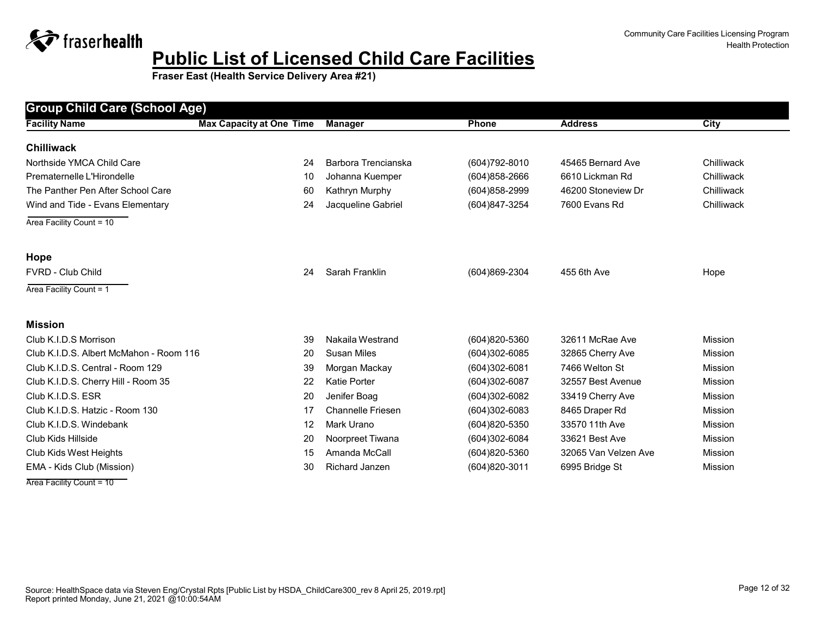**Fraser East (Health Service Delivery Area #21)**

| <b>Group Child Care (School Age)</b>    |                                 |                          |                   |                      |                |
|-----------------------------------------|---------------------------------|--------------------------|-------------------|----------------------|----------------|
| <b>Facility Name</b>                    | <b>Max Capacity at One Time</b> | <b>Manager</b>           | <b>Phone</b>      | <b>Address</b>       | <b>City</b>    |
| <b>Chilliwack</b>                       |                                 |                          |                   |                      |                |
| Northside YMCA Child Care               | 24                              | Barbora Trencianska      | (604) 792-8010    | 45465 Bernard Ave    | Chilliwack     |
| Prematernelle L'Hirondelle              | 10                              | Johanna Kuemper          | $(604)858 - 2666$ | 6610 Lickman Rd      | Chilliwack     |
| The Panther Pen After School Care       | 60                              | Kathryn Murphy           | (604)858-2999     | 46200 Stoneview Dr   | Chilliwack     |
| Wind and Tide - Evans Elementary        | 24                              | Jacqueline Gabriel       | (604)847-3254     | 7600 Evans Rd        | Chilliwack     |
| Area Facility Count = 10                |                                 |                          |                   |                      |                |
| Hope                                    |                                 |                          |                   |                      |                |
| <b>FVRD - Club Child</b>                | 24                              | Sarah Franklin           | $(604)869-2304$   | 455 6th Ave          | Hope           |
| Area Facility Count = 1                 |                                 |                          |                   |                      |                |
| <b>Mission</b>                          |                                 |                          |                   |                      |                |
| Club K.I.D.S Morrison                   | 39                              | Nakaila Westrand         | (604)820-5360     | 32611 McRae Ave      | Mission        |
| Club K.I.D.S. Albert McMahon - Room 116 | 20                              | <b>Susan Miles</b>       | $(604)302 - 6085$ | 32865 Cherry Ave     | Mission        |
| Club K.I.D.S. Central - Room 129        | 39                              | Morgan Mackay            | (604)302-6081     | 7466 Welton St       | <b>Mission</b> |
| Club K.I.D.S. Cherry Hill - Room 35     | 22                              | <b>Katie Porter</b>      | $(604)302-6087$   | 32557 Best Avenue    | <b>Mission</b> |
| Club K.I.D.S. ESR                       | 20                              | Jenifer Boag             | (604)302-6082     | 33419 Cherry Ave     | <b>Mission</b> |
| Club K.I.D.S. Hatzic - Room 130         | 17                              | <b>Channelle Friesen</b> | $(604)302 - 6083$ | 8465 Draper Rd       | <b>Mission</b> |
| Club K.I.D.S. Windebank                 | 12                              | Mark Urano               | $(604)820 - 5350$ | 33570 11th Ave       | Mission        |
| Club Kids Hillside                      | 20                              | Noorpreet Tiwana         | (604)302-6084     | 33621 Best Ave       | Mission        |
| Club Kids West Heights                  | 15                              | Amanda McCall            | (604)820-5360     | 32065 Van Velzen Ave | Mission        |
| EMA - Kids Club (Mission)               | 30                              | Richard Janzen           | (604)820-3011     | 6995 Bridge St       | Mission        |

Area Facility Count = 10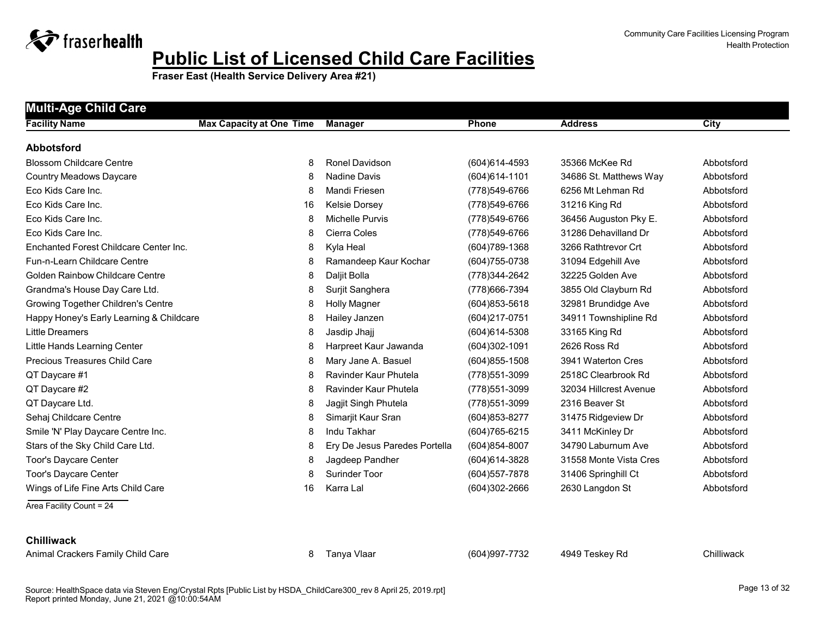

**Fraser East (Health Service Delivery Area #21)**

| <b>Multi-Age Child Care</b>              |                                 |                               |                   |                        |            |  |  |  |
|------------------------------------------|---------------------------------|-------------------------------|-------------------|------------------------|------------|--|--|--|
| <b>Facility Name</b>                     | <b>Max Capacity at One Time</b> | <b>Manager</b>                | <b>Phone</b>      | <b>Address</b>         | City       |  |  |  |
| <b>Abbotsford</b>                        |                                 |                               |                   |                        |            |  |  |  |
| <b>Blossom Childcare Centre</b>          | 8                               | <b>Ronel Davidson</b>         | $(604)614-4593$   | 35366 McKee Rd         | Abbotsford |  |  |  |
| <b>Country Meadows Daycare</b>           | 8                               | Nadine Davis                  | $(604)614 - 1101$ | 34686 St. Matthews Way | Abbotsford |  |  |  |
| Eco Kids Care Inc.                       | 8                               | Mandi Friesen                 | (778)549-6766     | 6256 Mt Lehman Rd      | Abbotsford |  |  |  |
| Eco Kids Care Inc.                       | 16                              | <b>Kelsie Dorsey</b>          | (778) 549-6766    | 31216 King Rd          | Abbotsford |  |  |  |
| Eco Kids Care Inc.                       | 8                               | Michelle Purvis               | (778)549-6766     | 36456 Auguston Pky E.  | Abbotsford |  |  |  |
| Eco Kids Care Inc.                       | 8                               | Cierra Coles                  | (778)549-6766     | 31286 Dehavilland Dr   | Abbotsford |  |  |  |
| Enchanted Forest Childcare Center Inc.   | 8                               | Kyla Heal                     | (604) 789-1368    | 3266 Rathtrevor Crt    | Abbotsford |  |  |  |
| Fun-n-Learn Childcare Centre             | 8                               | Ramandeep Kaur Kochar         | (604) 755-0738    | 31094 Edgehill Ave     | Abbotsford |  |  |  |
| <b>Golden Rainbow Childcare Centre</b>   | 8                               | Daljit Bolla                  | (778) 344-2642    | 32225 Golden Ave       | Abbotsford |  |  |  |
| Grandma's House Day Care Ltd.            | 8                               | Surjit Sanghera               | (778) 666-7394    | 3855 Old Clayburn Rd   | Abbotsford |  |  |  |
| Growing Together Children's Centre       | 8                               | <b>Holly Magner</b>           | $(604)853 - 5618$ | 32981 Brundidge Ave    | Abbotsford |  |  |  |
| Happy Honey's Early Learning & Childcare | 8                               | Hailey Janzen                 | (604)217-0751     | 34911 Townshipline Rd  | Abbotsford |  |  |  |
| Little Dreamers                          | 8                               | Jasdip Jhajj                  | $(604)614 - 5308$ | 33165 King Rd          | Abbotsford |  |  |  |
| Little Hands Learning Center             | 8                               | Harpreet Kaur Jawanda         | $(604)302 - 1091$ | 2626 Ross Rd           | Abbotsford |  |  |  |
| Precious Treasures Child Care            | 8                               | Mary Jane A. Basuel           | $(604)855 - 1508$ | 3941 Waterton Cres     | Abbotsford |  |  |  |
| QT Daycare #1                            | 8                               | Ravinder Kaur Phutela         | (778) 551-3099    | 2518C Clearbrook Rd    | Abbotsford |  |  |  |
| QT Daycare #2                            | 8                               | Ravinder Kaur Phutela         | (778) 551-3099    | 32034 Hillcrest Avenue | Abbotsford |  |  |  |
| QT Daycare Ltd.                          | 8                               | Jagjit Singh Phutela          | (778) 551-3099    | 2316 Beaver St         | Abbotsford |  |  |  |
| Sehaj Childcare Centre                   | 8                               | Simarjit Kaur Sran            | $(604)853 - 8277$ | 31475 Ridgeview Dr     | Abbotsford |  |  |  |
| Smile 'N' Play Daycare Centre Inc.       | 8                               | Indu Takhar                   | (604) 765-6215    | 3411 McKinley Dr       | Abbotsford |  |  |  |
| Stars of the Sky Child Care Ltd.         | 8                               | Ery De Jesus Paredes Portella | (604)854-8007     | 34790 Laburnum Ave     | Abbotsford |  |  |  |
| <b>Toor's Daycare Center</b>             | 8                               | Jagdeep Pandher               | (604) 614-3828    | 31558 Monte Vista Cres | Abbotsford |  |  |  |
| Toor's Daycare Center                    | 8                               | Surinder Toor                 | $(604)$ 557-7878  | 31406 Springhill Ct    | Abbotsford |  |  |  |
| Wings of Life Fine Arts Child Care       | 16                              | Karra Lal                     | (604)302-2666     | 2630 Langdon St        | Abbotsford |  |  |  |
| Area Facility Count = 24                 |                                 |                               |                   |                        |            |  |  |  |

#### **Chilliwack**

Animal Crackers Family Child Care **8 Tanya Vlaar** (604)997-7732 4949 Teskey Rd Chilliwack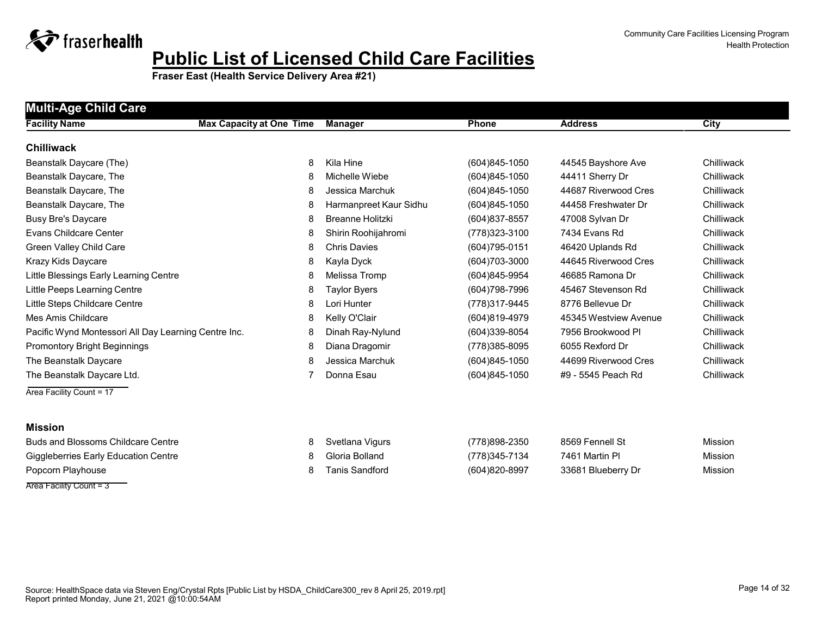

**Fraser East (Health Service Delivery Area #21)**

| <b>Multi-Age Child Care</b>                          |                                 |                         |                   |                       |                |
|------------------------------------------------------|---------------------------------|-------------------------|-------------------|-----------------------|----------------|
| <b>Facility Name</b>                                 | <b>Max Capacity at One Time</b> | <b>Manager</b>          | Phone             | <b>Address</b>        | City           |
| <b>Chilliwack</b>                                    |                                 |                         |                   |                       |                |
| Beanstalk Daycare (The)                              | 8                               | Kila Hine               | $(604)845 - 1050$ | 44545 Bayshore Ave    | Chilliwack     |
| Beanstalk Daycare, The                               | 8                               | Michelle Wiebe          | (604)845-1050     | 44411 Sherry Dr       | Chilliwack     |
| Beanstalk Daycare, The                               | 8                               | Jessica Marchuk         | (604)845-1050     | 44687 Riverwood Cres  | Chilliwack     |
| Beanstalk Daycare, The                               | 8                               | Harmanpreet Kaur Sidhu  | $(604)845 - 1050$ | 44458 Freshwater Dr   | Chilliwack     |
| <b>Busy Bre's Daycare</b>                            | 8                               | <b>Breanne Holitzki</b> | $(604)837 - 8557$ | 47008 Sylvan Dr       | Chilliwack     |
| <b>Evans Childcare Center</b>                        | 8                               | Shirin Roohijahromi     | (778) 323-3100    | 7434 Evans Rd         | Chilliwack     |
| Green Valley Child Care                              | 8                               | <b>Chris Davies</b>     | (604) 795-0151    | 46420 Uplands Rd      | Chilliwack     |
| Krazy Kids Daycare                                   | 8                               | Kayla Dyck              | $(604)703 - 3000$ | 44645 Riverwood Cres  | Chilliwack     |
| Little Blessings Early Learning Centre               | 8                               | Melissa Tromp           | (604)845-9954     | 46685 Ramona Dr       | Chilliwack     |
| Little Peeps Learning Centre                         | 8                               | <b>Taylor Byers</b>     | (604) 798-7996    | 45467 Stevenson Rd    | Chilliwack     |
| Little Steps Childcare Centre                        | 8                               | Lori Hunter             | (778) 317-9445    | 8776 Bellevue Dr      | Chilliwack     |
| Mes Amis Childcare                                   | 8                               | Kelly O'Clair           | (604)819-4979     | 45345 Westview Avenue | Chilliwack     |
| Pacific Wynd Montessori All Day Learning Centre Inc. | 8                               | Dinah Ray-Nylund        | $(604)339-8054$   | 7956 Brookwood Pl     | Chilliwack     |
| <b>Promontory Bright Beginnings</b>                  | 8                               | Diana Dragomir          | (778) 385-8095    | 6055 Rexford Dr       | Chilliwack     |
| The Beanstalk Daycare                                | 8                               | Jessica Marchuk         | $(604)845 - 1050$ | 44699 Riverwood Cres  | Chilliwack     |
| The Beanstalk Daycare Ltd.                           | 7                               | Donna Esau              | $(604)845 - 1050$ | #9 - 5545 Peach Rd    | Chilliwack     |
| Area Facility Count = 17                             |                                 |                         |                   |                       |                |
|                                                      |                                 |                         |                   |                       |                |
| <b>Mission</b>                                       |                                 |                         |                   |                       |                |
| <b>Buds and Blossoms Childcare Centre</b>            | 8                               | Svetlana Vigurs         | (778)898-2350     | 8569 Fennell St       | Mission        |
| <b>Giggleberries Early Education Centre</b>          | 8                               | Gloria Bolland          | (778) 345-7134    | 7461 Martin Pl        | Mission        |
| Popcorn Playhouse                                    | 8                               | <b>Tanis Sandford</b>   | (604)820-8997     | 33681 Blueberry Dr    | <b>Mission</b> |

Area Facility Count = 3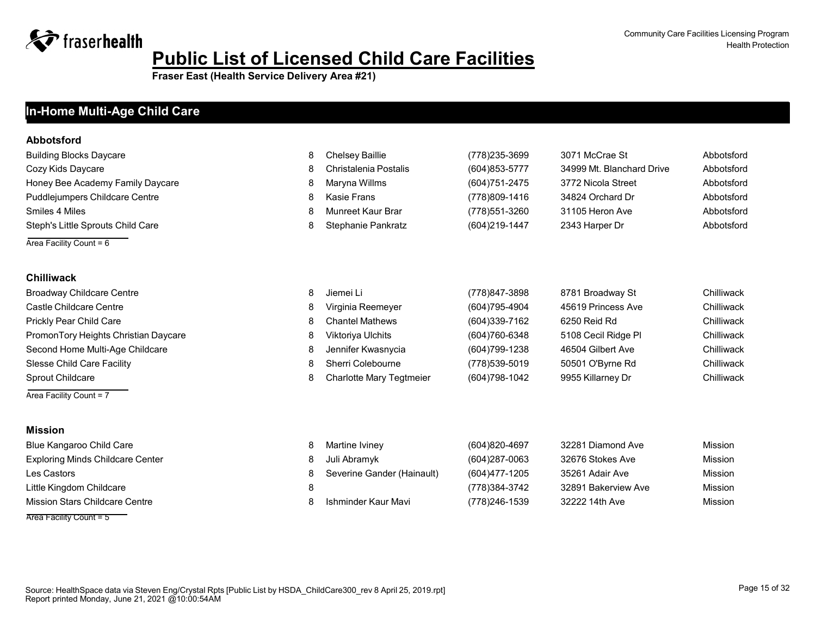**Fraser East (Health Service Delivery Area #21)**

### **Facility Name Max Capacity at One Time Manager Phone Address In-Home Multi-Age Child Care**

#### **Abbotsford**

| Building Blocks Daycare           | Chelsey Baillie       | (778)235-3699  | 3071 McCrae St            | Abbotsford |
|-----------------------------------|-----------------------|----------------|---------------------------|------------|
| Cozy Kids Daycare                 | Christalenia Postalis | (604) 853-5777 | 34999 Mt. Blanchard Drive | Abbotsford |
| Honey Bee Academy Family Daycare  | Maryna Willms         | (604)751-2475  | 3772 Nicola Street        | Abbotsford |
| Puddlejumpers Childcare Centre    | Kasie Frans           | (778)809-1416  | 34824 Orchard Dr          | Abbotsford |
| Smiles 4 Miles                    | Munreet Kaur Brar     | (778)551-3260  | 31105 Heron Ave           | Abbotsford |
| Steph's Little Sprouts Child Care | Stephanie Pankratz    | (604) 219-1447 | 2343 Harper Dr            | Abbotsford |

Area Facility Count  $= 6$ 

#### **Chilliwack**

| <b>Broadway Childcare Centre</b>     |   | Jiemei Li                       | (778)847-3898  | 8781 Broadway St    | Chilliwack |
|--------------------------------------|---|---------------------------------|----------------|---------------------|------------|
| Castle Childcare Centre              | 8 | Virginia Reemeyer               | (604)795-4904  | 45619 Princess Ave  | Chilliwack |
| Prickly Pear Child Care              |   | <b>Chantel Mathews</b>          | (604)339-7162  | 6250 Reid Rd        | Chilliwack |
| PromonTory Heights Christian Daycare |   | Viktoriya Ulchits               | (604)760-6348  | 5108 Cecil Ridge PI | Chilliwack |
| Second Home Multi-Age Childcare      |   | Jennifer Kwasnycia              | (604) 799-1238 | 46504 Gilbert Ave   | Chilliwack |
| <b>Slesse Child Care Facility</b>    |   | Sherri Colebourne               | (778)539-5019  | 50501 O'Byrne Rd    | Chilliwack |
| <b>Sprout Childcare</b>              |   | <b>Charlotte Mary Tegtmeier</b> | (604) 798-1042 | 9955 Killarney Dr   | Chilliwack |
| Area Facility Count = 7              |   |                                 |                |                     |            |

#### **Mission**

| Blue Kangaroo Child Care                | Martine Iviney             | (604)820-4697 | 32281 Diamond Ave   | Mission |
|-----------------------------------------|----------------------------|---------------|---------------------|---------|
| <b>Exploring Minds Childcare Center</b> | Juli Abramyk               | (604)287-0063 | 32676 Stokes Ave    | Mission |
| Les Castors                             | Severine Gander (Hainault) | (604)477-1205 | 35261 Adair Ave     | Mission |
| Little Kingdom Childcare                |                            | (778)384-3742 | 32891 Bakerview Ave | Mission |
| Mission Stars Childcare Centre          | Ishminder Kaur Mavi        | (778)246-1539 | 32222 14th Ave      | Mission |
| Area Facility Count = 5                 |                            |               |                     |         |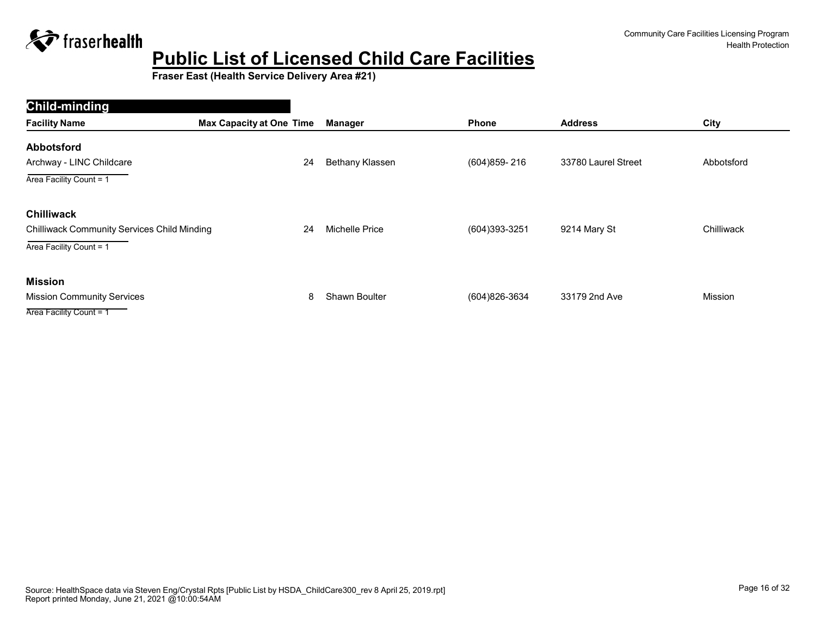

| Child-minding                                      |                                 |                      |                 |                     |            |
|----------------------------------------------------|---------------------------------|----------------------|-----------------|---------------------|------------|
| <b>Facility Name</b>                               | <b>Max Capacity at One Time</b> | Manager              | Phone           | <b>Address</b>      | City       |
| <b>Abbotsford</b>                                  |                                 |                      |                 |                     |            |
| Archway - LINC Childcare                           | 24                              | Bethany Klassen      | (604) 859 - 216 | 33780 Laurel Street | Abbotsford |
| Area Facility Count = 1                            |                                 |                      |                 |                     |            |
| <b>Chilliwack</b>                                  |                                 |                      |                 |                     |            |
| <b>Chilliwack Community Services Child Minding</b> | 24                              | Michelle Price       | (604)393-3251   | 9214 Mary St        | Chilliwack |
| Area Facility Count = 1                            |                                 |                      |                 |                     |            |
| <b>Mission</b>                                     |                                 |                      |                 |                     |            |
| <b>Mission Community Services</b>                  | 8                               | <b>Shawn Boulter</b> | (604)826-3634   | 33179 2nd Ave       | Mission    |
| Area Facility Count = 1                            |                                 |                      |                 |                     |            |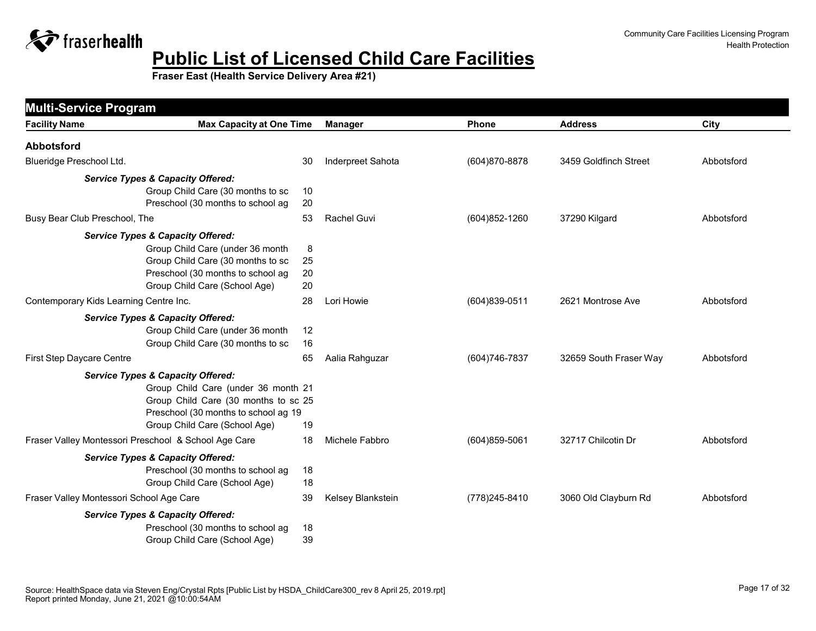

<span id="page-16-0"></span>

| <b>Multi-Service Program</b>                         |                                                                                                                                                                    |                   |                   |                        |            |
|------------------------------------------------------|--------------------------------------------------------------------------------------------------------------------------------------------------------------------|-------------------|-------------------|------------------------|------------|
| <b>Facility Name</b>                                 | <b>Max Capacity at One Time</b>                                                                                                                                    | <b>Manager</b>    | Phone             | <b>Address</b>         | City       |
| <b>Abbotsford</b>                                    |                                                                                                                                                                    |                   |                   |                        |            |
| Blueridge Preschool Ltd.                             | 30                                                                                                                                                                 | Inderpreet Sahota | (604) 870-8878    | 3459 Goldfinch Street  | Abbotsford |
| <b>Service Types &amp; Capacity Offered:</b>         | Group Child Care (30 months to sc<br>10<br>Preschool (30 months to school ag<br>20                                                                                 |                   |                   |                        |            |
| Busy Bear Club Preschool, The                        | 53                                                                                                                                                                 | Rachel Guvi       | (604) 852-1260    | 37290 Kilgard          | Abbotsford |
| <b>Service Types &amp; Capacity Offered:</b>         | Group Child Care (under 36 month<br>8<br>Group Child Care (30 months to sc<br>25<br>Preschool (30 months to school ag<br>20<br>20<br>Group Child Care (School Age) |                   |                   |                        |            |
| Contemporary Kids Learning Centre Inc.               | 28                                                                                                                                                                 | Lori Howie        | (604)839-0511     | 2621 Montrose Ave      | Abbotsford |
| <b>Service Types &amp; Capacity Offered:</b>         | Group Child Care (under 36 month<br>12<br>Group Child Care (30 months to sc<br>16                                                                                  |                   |                   |                        |            |
| First Step Daycare Centre                            | 65                                                                                                                                                                 | Aalia Rahguzar    | (604) 746-7837    | 32659 South Fraser Way | Abbotsford |
| <b>Service Types &amp; Capacity Offered:</b>         | Group Child Care (under 36 month 21<br>Group Child Care (30 months to sc 25<br>Preschool (30 months to school ag 19<br>Group Child Care (School Age)<br>19         |                   |                   |                        |            |
| Fraser Valley Montessori Preschool & School Age Care | 18                                                                                                                                                                 | Michele Fabbro    | $(604)859 - 5061$ | 32717 Chilcotin Dr     | Abbotsford |
| <b>Service Types &amp; Capacity Offered:</b>         | Preschool (30 months to school ag<br>18<br>Group Child Care (School Age)<br>18                                                                                     |                   |                   |                        |            |
| Fraser Valley Montessori School Age Care             | 39                                                                                                                                                                 | Kelsey Blankstein | (778) 245-8410    | 3060 Old Clayburn Rd   | Abbotsford |
| <b>Service Types &amp; Capacity Offered:</b>         | Preschool (30 months to school ag<br>18<br>Group Child Care (School Age)<br>39                                                                                     |                   |                   |                        |            |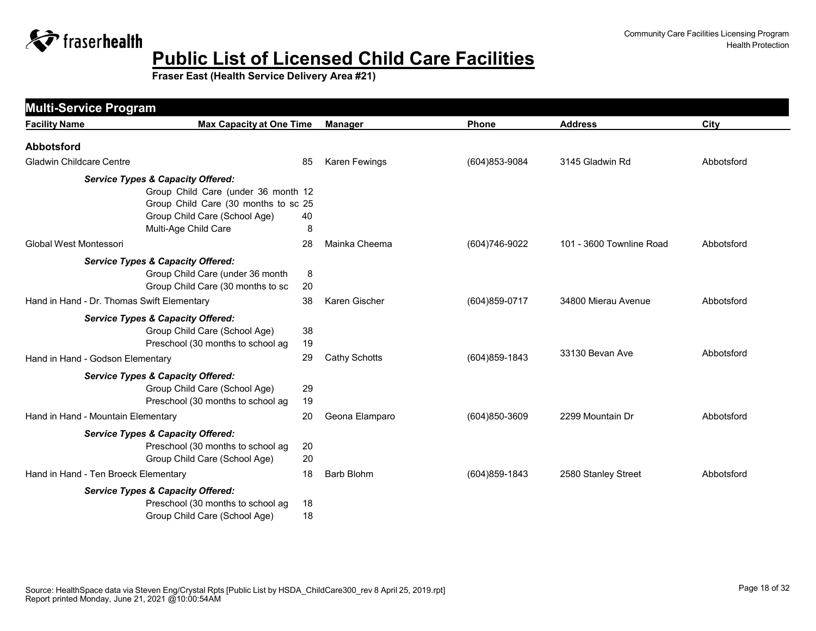

| <b>Multi-Service Program</b>               |                                              |    |                   |                   |                          |            |
|--------------------------------------------|----------------------------------------------|----|-------------------|-------------------|--------------------------|------------|
| <b>Facility Name</b>                       | <b>Max Capacity at One Time</b>              |    | Manager           | <b>Phone</b>      | <b>Address</b>           | City       |
| <b>Abbotsford</b>                          |                                              |    |                   |                   |                          |            |
| <b>Gladwin Childcare Centre</b>            |                                              | 85 | Karen Fewings     | (604) 853-9084    | 3145 Gladwin Rd          | Abbotsford |
|                                            | <b>Service Types &amp; Capacity Offered:</b> |    |                   |                   |                          |            |
|                                            | Group Child Care (under 36 month 12          |    |                   |                   |                          |            |
|                                            | Group Child Care (30 months to sc 25         |    |                   |                   |                          |            |
|                                            | Group Child Care (School Age)                | 40 |                   |                   |                          |            |
|                                            | Multi-Age Child Care                         | 8  |                   |                   |                          |            |
| <b>Global West Montessori</b>              |                                              | 28 | Mainka Cheema     | (604)746-9022     | 101 - 3600 Townline Road | Abbotsford |
|                                            | <b>Service Types &amp; Capacity Offered:</b> |    |                   |                   |                          |            |
|                                            | Group Child Care (under 36 month             | 8  |                   |                   |                          |            |
|                                            | Group Child Care (30 months to sc            | 20 |                   |                   |                          |            |
| Hand in Hand - Dr. Thomas Swift Elementary |                                              | 38 | Karen Gischer     | (604) 859-0717    | 34800 Mierau Avenue      | Abbotsford |
|                                            | <b>Service Types &amp; Capacity Offered:</b> |    |                   |                   |                          |            |
|                                            | Group Child Care (School Age)                | 38 |                   |                   |                          |            |
|                                            | Preschool (30 months to school ag            | 19 |                   |                   |                          |            |
| Hand in Hand - Godson Elementary           |                                              | 29 | Cathy Schotts     | (604)859-1843     | 33130 Bevan Ave          | Abbotsford |
|                                            | <b>Service Types &amp; Capacity Offered:</b> |    |                   |                   |                          |            |
|                                            | Group Child Care (School Age)                | 29 |                   |                   |                          |            |
|                                            | Preschool (30 months to school ag            | 19 |                   |                   |                          |            |
| Hand in Hand - Mountain Elementary         |                                              | 20 | Geona Elamparo    | $(604)850 - 3609$ | 2299 Mountain Dr         | Abbotsford |
|                                            | <b>Service Types &amp; Capacity Offered:</b> |    |                   |                   |                          |            |
|                                            | Preschool (30 months to school ag            | 20 |                   |                   |                          |            |
|                                            | Group Child Care (School Age)                | 20 |                   |                   |                          |            |
| Hand in Hand - Ten Broeck Elementary       |                                              | 18 | <b>Barb Blohm</b> | (604) 859-1843    | 2580 Stanley Street      | Abbotsford |
|                                            | <b>Service Types &amp; Capacity Offered:</b> |    |                   |                   |                          |            |
|                                            | Preschool (30 months to school ag            | 18 |                   |                   |                          |            |
|                                            | Group Child Care (School Age)                | 18 |                   |                   |                          |            |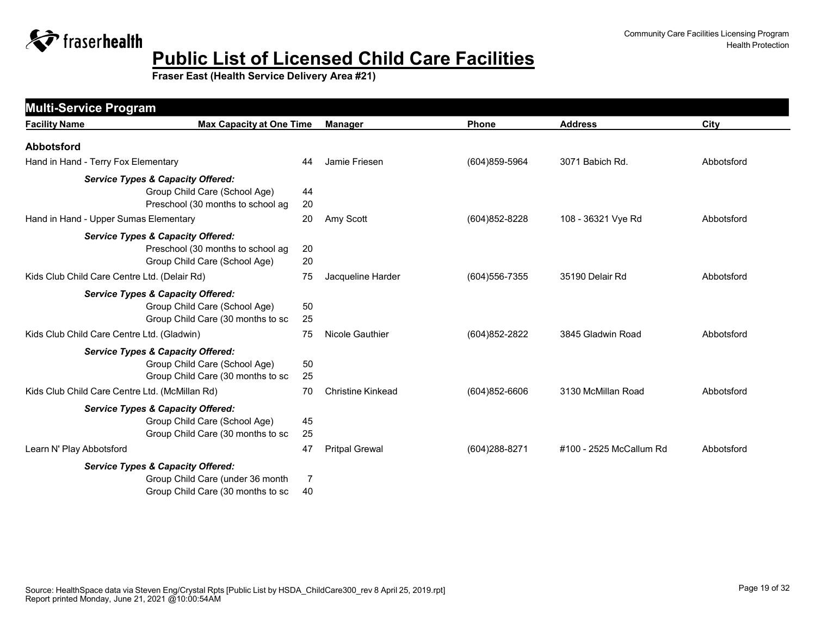

| <b>Multi-Service Program</b>                                                                                          |          |                          |                   |                         |            |
|-----------------------------------------------------------------------------------------------------------------------|----------|--------------------------|-------------------|-------------------------|------------|
| <b>Max Capacity at One Time</b><br><b>Facility Name</b>                                                               |          | <b>Manager</b>           | Phone             | <b>Address</b>          | City       |
| <b>Abbotsford</b>                                                                                                     |          |                          |                   |                         |            |
| Hand in Hand - Terry Fox Elementary                                                                                   | 44       | Jamie Friesen            | (604) 859-5964    | 3071 Babich Rd.         | Abbotsford |
| <b>Service Types &amp; Capacity Offered:</b><br>Group Child Care (School Age)<br>Preschool (30 months to school ag    | 44<br>20 |                          |                   |                         |            |
| Hand in Hand - Upper Sumas Elementary                                                                                 | 20       | Amy Scott                | (604) 852-8228    | 108 - 36321 Vye Rd      | Abbotsford |
| <b>Service Types &amp; Capacity Offered:</b><br>Preschool (30 months to school ag<br>Group Child Care (School Age)    | 20<br>20 |                          |                   |                         |            |
| Kids Club Child Care Centre Ltd. (Delair Rd)                                                                          | 75       | Jacqueline Harder        | $(604)556 - 7355$ | 35190 Delair Rd         | Abbotsford |
| <b>Service Types &amp; Capacity Offered:</b><br>Group Child Care (School Age)<br>Group Child Care (30 months to sc    | 50<br>25 |                          |                   |                         |            |
| Kids Club Child Care Centre Ltd. (Gladwin)                                                                            | 75       | Nicole Gauthier          | (604) 852-2822    | 3845 Gladwin Road       | Abbotsford |
| <b>Service Types &amp; Capacity Offered:</b><br>Group Child Care (School Age)<br>Group Child Care (30 months to sc    | 50<br>25 |                          |                   |                         |            |
| Kids Club Child Care Centre Ltd. (McMillan Rd)                                                                        | 70       | <b>Christine Kinkead</b> | $(604)852 - 6606$ | 3130 McMillan Road      | Abbotsford |
| <b>Service Types &amp; Capacity Offered:</b><br>Group Child Care (School Age)<br>Group Child Care (30 months to sc    | 45<br>25 |                          |                   |                         |            |
| Learn N' Play Abbotsford                                                                                              | 47       | <b>Pritpal Grewal</b>    | (604) 288-8271    | #100 - 2525 McCallum Rd | Abbotsford |
| <b>Service Types &amp; Capacity Offered:</b><br>Group Child Care (under 36 month<br>Group Child Care (30 months to sc | 7<br>40  |                          |                   |                         |            |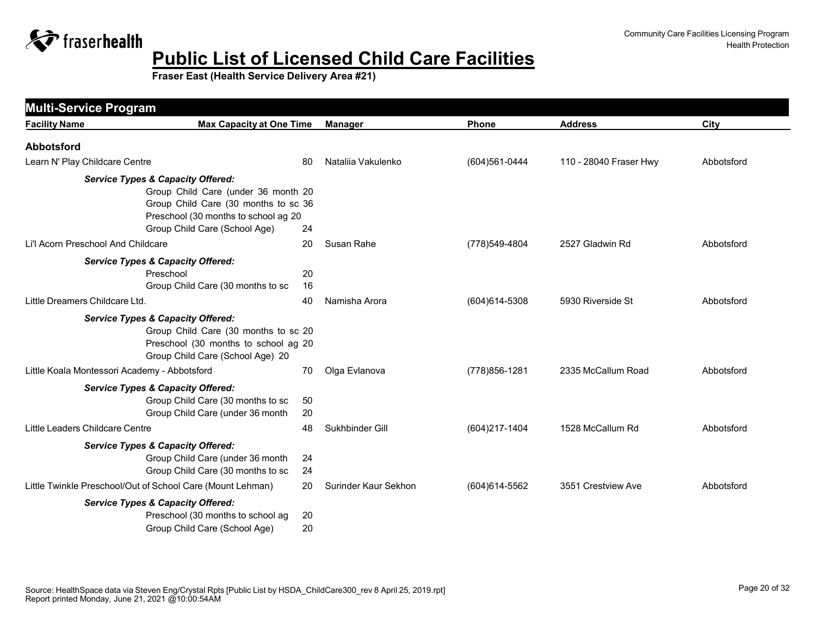

| <b>Multi-Service Program</b>                               |                                                                                                                                                            |                      |                |                        |            |
|------------------------------------------------------------|------------------------------------------------------------------------------------------------------------------------------------------------------------|----------------------|----------------|------------------------|------------|
| <b>Facility Name</b>                                       | <b>Max Capacity at One Time</b>                                                                                                                            | <b>Manager</b>       | <b>Phone</b>   | <b>Address</b>         | City       |
| <b>Abbotsford</b>                                          |                                                                                                                                                            |                      |                |                        |            |
| Learn N' Play Childcare Centre                             | 80                                                                                                                                                         | Natalija Vakulenko   | (604) 561-0444 | 110 - 28040 Fraser Hwy | Abbotsford |
| <b>Service Types &amp; Capacity Offered:</b>               | Group Child Care (under 36 month 20<br>Group Child Care (30 months to sc 36<br>Preschool (30 months to school ag 20<br>Group Child Care (School Age)<br>24 |                      |                |                        |            |
| Li'l Acorn Preschool And Childcare                         | 20                                                                                                                                                         | Susan Rahe           | (778)549-4804  | 2527 Gladwin Rd        | Abbotsford |
| <b>Service Types &amp; Capacity Offered:</b><br>Preschool  | 20<br>Group Child Care (30 months to sc<br>16                                                                                                              |                      |                |                        |            |
| Little Dreamers Childcare Ltd.                             | 40                                                                                                                                                         | Namisha Arora        | (604) 614-5308 | 5930 Riverside St      | Abbotsford |
| <b>Service Types &amp; Capacity Offered:</b>               | Group Child Care (30 months to sc 20<br>Preschool (30 months to school ag 20<br>Group Child Care (School Age) 20                                           |                      |                |                        |            |
| Little Koala Montessori Academy - Abbotsford               | 70                                                                                                                                                         | Olga Evlanova        | (778) 856-1281 | 2335 McCallum Road     | Abbotsford |
| <b>Service Types &amp; Capacity Offered:</b>               | Group Child Care (30 months to sc<br>50<br>20<br>Group Child Care (under 36 month                                                                          |                      |                |                        |            |
| Little Leaders Childcare Centre                            | 48                                                                                                                                                         | Sukhbinder Gill      | (604)217-1404  | 1528 McCallum Rd       | Abbotsford |
| <b>Service Types &amp; Capacity Offered:</b>               | Group Child Care (under 36 month<br>24<br>Group Child Care (30 months to sc<br>24                                                                          |                      |                |                        |            |
| Little Twinkle Preschool/Out of School Care (Mount Lehman) | 20                                                                                                                                                         | Surinder Kaur Sekhon | (604) 614-5562 | 3551 Crestview Ave     | Abbotsford |
| <b>Service Types &amp; Capacity Offered:</b>               | Preschool (30 months to school ag<br>20<br>Group Child Care (School Age)<br>20                                                                             |                      |                |                        |            |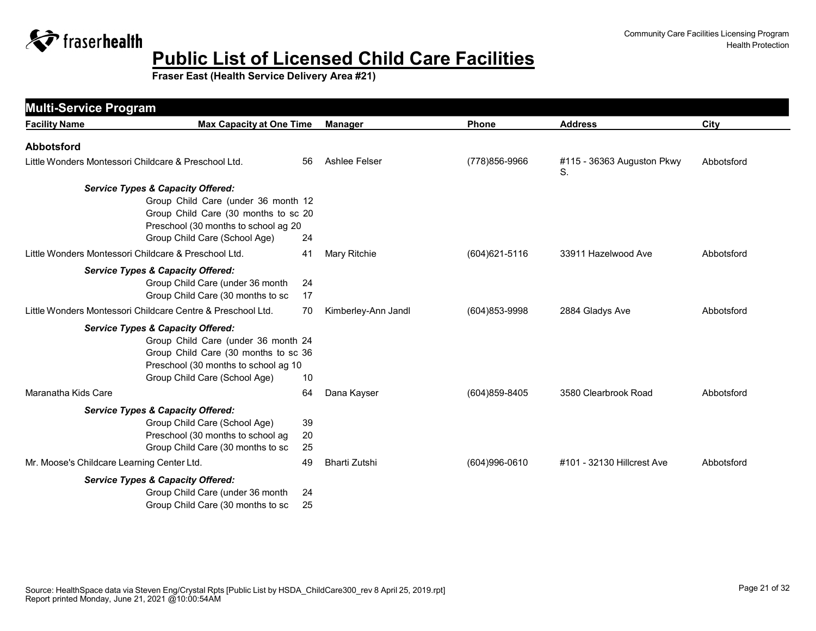

| <b>Multi-Service Program</b>                                                                                                                                                                         |                |                     |                   |                                  |            |
|------------------------------------------------------------------------------------------------------------------------------------------------------------------------------------------------------|----------------|---------------------|-------------------|----------------------------------|------------|
| <b>Max Capacity at One Time</b><br><b>Facility Name</b>                                                                                                                                              |                | <b>Manager</b>      | Phone             | <b>Address</b>                   | City       |
| <b>Abbotsford</b>                                                                                                                                                                                    |                |                     |                   |                                  |            |
| Little Wonders Montessori Childcare & Preschool Ltd.                                                                                                                                                 | 56             | Ashlee Felser       | (778)856-9966     | #115 - 36363 Auguston Pkwy<br>S. | Abbotsford |
| <b>Service Types &amp; Capacity Offered:</b><br>Group Child Care (under 36 month 12<br>Group Child Care (30 months to sc 20<br>Preschool (30 months to school ag 20<br>Group Child Care (School Age) | 24             |                     |                   |                                  |            |
| Little Wonders Montessori Childcare & Preschool Ltd.                                                                                                                                                 | 41             | Mary Ritchie        | $(604)621 - 5116$ | 33911 Hazelwood Ave              | Abbotsford |
| <b>Service Types &amp; Capacity Offered:</b><br>Group Child Care (under 36 month<br>Group Child Care (30 months to sc<br>Little Wonders Montessori Childcare Centre & Preschool Ltd.                 | 24<br>17<br>70 |                     |                   |                                  | Abbotsford |
|                                                                                                                                                                                                      |                | Kimberley-Ann Jandl | (604)853-9998     | 2884 Gladys Ave                  |            |
| <b>Service Types &amp; Capacity Offered:</b><br>Group Child Care (under 36 month 24<br>Group Child Care (30 months to sc 36<br>Preschool (30 months to school ag 10<br>Group Child Care (School Age) | 10             |                     |                   |                                  |            |
| Maranatha Kids Care                                                                                                                                                                                  | 64             | Dana Kayser         | (604)859-8405     | 3580 Clearbrook Road             | Abbotsford |
| <b>Service Types &amp; Capacity Offered:</b><br>Group Child Care (School Age)<br>Preschool (30 months to school ag<br>Group Child Care (30 months to sc                                              | 39<br>20<br>25 |                     |                   |                                  |            |
| Mr. Moose's Childcare Learning Center Ltd.                                                                                                                                                           | 49             | Bharti Zutshi       | (604)996-0610     | #101 - 32130 Hillcrest Ave       | Abbotsford |
| <b>Service Types &amp; Capacity Offered:</b><br>Group Child Care (under 36 month<br>Group Child Care (30 months to sc                                                                                | 24<br>25       |                     |                   |                                  |            |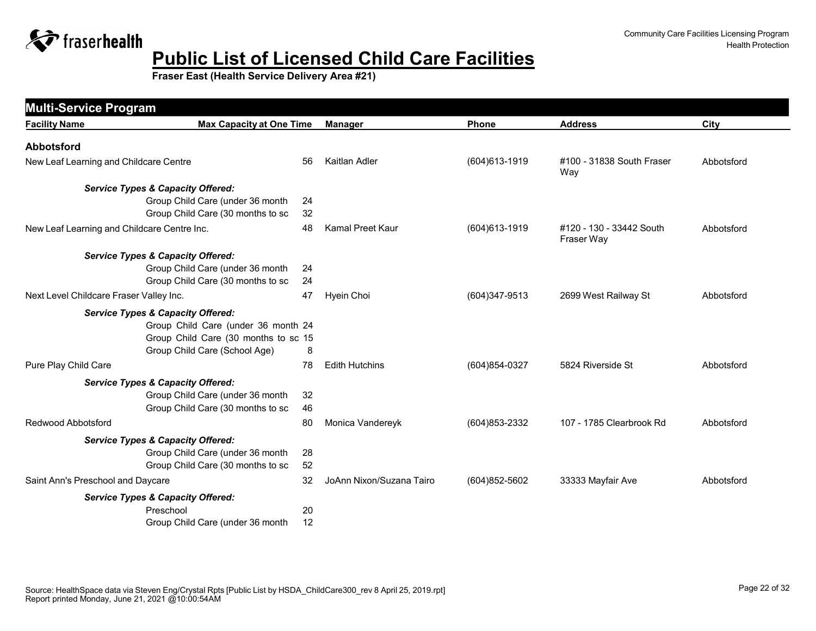

|                                             | <b>Multi-Service Program</b>                 |    |                          |                   |                                        |            |  |
|---------------------------------------------|----------------------------------------------|----|--------------------------|-------------------|----------------------------------------|------------|--|
| <b>Facility Name</b>                        | <b>Max Capacity at One Time</b>              |    | <b>Manager</b>           | <b>Phone</b>      | <b>Address</b>                         | City       |  |
| <b>Abbotsford</b>                           |                                              |    |                          |                   |                                        |            |  |
| New Leaf Learning and Childcare Centre      |                                              | 56 | Kaitlan Adler            | (604) 613-1919    | #100 - 31838 South Fraser<br>Way       | Abbotsford |  |
|                                             | <b>Service Types &amp; Capacity Offered:</b> |    |                          |                   |                                        |            |  |
|                                             | Group Child Care (under 36 month             | 24 |                          |                   |                                        |            |  |
|                                             | Group Child Care (30 months to sc            | 32 |                          |                   |                                        |            |  |
| New Leaf Learning and Childcare Centre Inc. |                                              | 48 | Kamal Preet Kaur         | (604) 613-1919    | #120 - 130 - 33442 South<br>Fraser Way | Abbotsford |  |
|                                             | <b>Service Types &amp; Capacity Offered:</b> |    |                          |                   |                                        |            |  |
|                                             | Group Child Care (under 36 month             | 24 |                          |                   |                                        |            |  |
|                                             | Group Child Care (30 months to sc            | 24 |                          |                   |                                        |            |  |
| Next Level Childcare Fraser Valley Inc.     |                                              | 47 | Hyein Choi               | $(604)347-9513$   | 2699 West Railway St                   | Abbotsford |  |
|                                             | <b>Service Types &amp; Capacity Offered:</b> |    |                          |                   |                                        |            |  |
|                                             | Group Child Care (under 36 month 24          |    |                          |                   |                                        |            |  |
|                                             | Group Child Care (30 months to sc 15         |    |                          |                   |                                        |            |  |
|                                             | Group Child Care (School Age)                | 8  |                          |                   |                                        |            |  |
| Pure Play Child Care                        |                                              | 78 | <b>Edith Hutchins</b>    | (604)854-0327     | 5824 Riverside St                      | Abbotsford |  |
|                                             | <b>Service Types &amp; Capacity Offered:</b> |    |                          |                   |                                        |            |  |
|                                             | Group Child Care (under 36 month             | 32 |                          |                   |                                        |            |  |
|                                             | Group Child Care (30 months to sc            | 46 |                          |                   |                                        |            |  |
| Redwood Abbotsford                          |                                              | 80 | Monica Vandereyk         | $(604)853 - 2332$ | 107 - 1785 Clearbrook Rd               | Abbotsford |  |
|                                             | <b>Service Types &amp; Capacity Offered:</b> |    |                          |                   |                                        |            |  |
|                                             | Group Child Care (under 36 month             | 28 |                          |                   |                                        |            |  |
|                                             | Group Child Care (30 months to sc            | 52 |                          |                   |                                        |            |  |
| Saint Ann's Preschool and Daycare           |                                              | 32 | JoAnn Nixon/Suzana Tairo | $(604)852 - 5602$ | 33333 Mayfair Ave                      | Abbotsford |  |
|                                             | <b>Service Types &amp; Capacity Offered:</b> |    |                          |                   |                                        |            |  |
|                                             | Preschool                                    | 20 |                          |                   |                                        |            |  |
|                                             | Group Child Care (under 36 month             | 12 |                          |                   |                                        |            |  |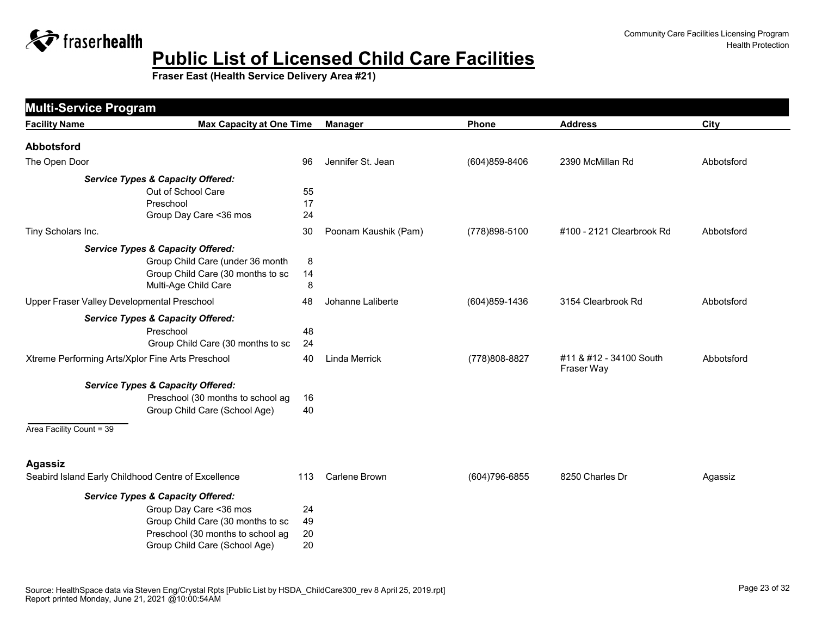

| <b>Multi-Service Program</b>                |                                                     |     |                      |                |                                       |            |
|---------------------------------------------|-----------------------------------------------------|-----|----------------------|----------------|---------------------------------------|------------|
| <b>Facility Name</b>                        | <b>Max Capacity at One Time</b>                     |     | <b>Manager</b>       | Phone          | <b>Address</b>                        | City       |
| <b>Abbotsford</b>                           |                                                     |     |                      |                |                                       |            |
| The Open Door                               |                                                     | 96  | Jennifer St. Jean    | (604)859-8406  | 2390 McMillan Rd                      | Abbotsford |
|                                             | <b>Service Types &amp; Capacity Offered:</b>        |     |                      |                |                                       |            |
|                                             | Out of School Care                                  | 55  |                      |                |                                       |            |
|                                             | Preschool                                           | 17  |                      |                |                                       |            |
|                                             | Group Day Care < 36 mos                             | 24  |                      |                |                                       |            |
| Tiny Scholars Inc.                          |                                                     | 30  | Poonam Kaushik (Pam) | (778) 898-5100 | #100 - 2121 Clearbrook Rd             | Abbotsford |
|                                             | <b>Service Types &amp; Capacity Offered:</b>        |     |                      |                |                                       |            |
|                                             | Group Child Care (under 36 month                    | 8   |                      |                |                                       |            |
|                                             | Group Child Care (30 months to sc                   | 14  |                      |                |                                       |            |
|                                             | Multi-Age Child Care                                | 8   |                      |                |                                       |            |
| Upper Fraser Valley Developmental Preschool |                                                     | 48  | Johanne Laliberte    | (604) 859-1436 | 3154 Clearbrook Rd                    | Abbotsford |
|                                             | <b>Service Types &amp; Capacity Offered:</b>        |     |                      |                |                                       |            |
|                                             | Preschool                                           | 48  |                      |                |                                       |            |
|                                             | Group Child Care (30 months to sc                   | 24  |                      |                |                                       |            |
|                                             | Xtreme Performing Arts/Xplor Fine Arts Preschool    | 40  | <b>Linda Merrick</b> | (778) 808-8827 | #11 & #12 - 34100 South<br>Fraser Way | Abbotsford |
|                                             | <b>Service Types &amp; Capacity Offered:</b>        |     |                      |                |                                       |            |
|                                             | Preschool (30 months to school ag                   | 16  |                      |                |                                       |            |
|                                             | Group Child Care (School Age)                       | 40  |                      |                |                                       |            |
| Area Facility Count = 39                    |                                                     |     |                      |                |                                       |            |
| <b>Agassiz</b>                              |                                                     |     |                      |                |                                       |            |
|                                             | Seabird Island Early Childhood Centre of Excellence | 113 | <b>Carlene Brown</b> | (604) 796-6855 | 8250 Charles Dr                       | Agassiz    |
|                                             | <b>Service Types &amp; Capacity Offered:</b>        |     |                      |                |                                       |            |
|                                             | Group Day Care < 36 mos                             | 24  |                      |                |                                       |            |
|                                             | Group Child Care (30 months to sc                   | 49  |                      |                |                                       |            |
|                                             | Preschool (30 months to school ag                   | 20  |                      |                |                                       |            |
|                                             | Group Child Care (School Age)                       | 20  |                      |                |                                       |            |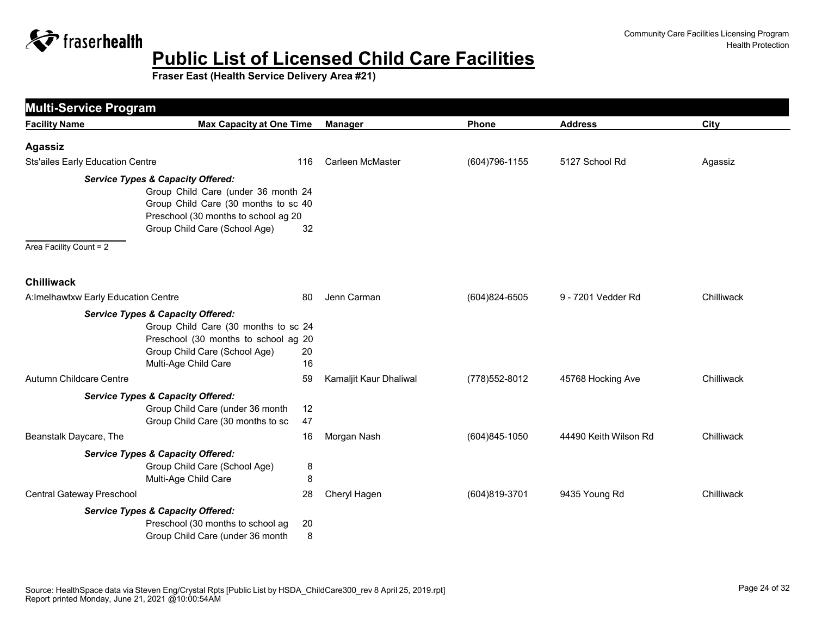

| <b>Multi-Service Program</b>            |                                                                                                                                                                                                      |          |                        |                   |                       |            |
|-----------------------------------------|------------------------------------------------------------------------------------------------------------------------------------------------------------------------------------------------------|----------|------------------------|-------------------|-----------------------|------------|
| <b>Facility Name</b>                    | <b>Max Capacity at One Time</b>                                                                                                                                                                      |          | <b>Manager</b>         | Phone             | <b>Address</b>        | City       |
| <b>Agassiz</b>                          |                                                                                                                                                                                                      |          |                        |                   |                       |            |
| <b>Sts'ailes Early Education Centre</b> |                                                                                                                                                                                                      | 116      | Carleen McMaster       | (604) 796-1155    | 5127 School Rd        | Agassiz    |
| Area Facility Count = 2                 | <b>Service Types &amp; Capacity Offered:</b><br>Group Child Care (under 36 month 24<br>Group Child Care (30 months to sc 40<br>Preschool (30 months to school ag 20<br>Group Child Care (School Age) | 32       |                        |                   |                       |            |
| <b>Chilliwack</b>                       |                                                                                                                                                                                                      |          |                        |                   |                       |            |
| A: Imelhawtxw Early Education Centre    |                                                                                                                                                                                                      | 80       | Jenn Carman            | $(604)824 - 6505$ | 9 - 7201 Vedder Rd    | Chilliwack |
|                                         | <b>Service Types &amp; Capacity Offered:</b><br>Group Child Care (30 months to sc 24<br>Preschool (30 months to school ag 20<br>Group Child Care (School Age)<br>Multi-Age Child Care                | 20<br>16 |                        |                   |                       |            |
| <b>Autumn Childcare Centre</b>          |                                                                                                                                                                                                      | 59       | Kamaljit Kaur Dhaliwal | (778) 552-8012    | 45768 Hocking Ave     | Chilliwack |
|                                         | <b>Service Types &amp; Capacity Offered:</b><br>Group Child Care (under 36 month<br>Group Child Care (30 months to sc                                                                                | 12<br>47 |                        |                   |                       |            |
| Beanstalk Daycare, The                  |                                                                                                                                                                                                      | 16       | Morgan Nash            | (604)845-1050     | 44490 Keith Wilson Rd | Chilliwack |
|                                         | <b>Service Types &amp; Capacity Offered:</b><br>Group Child Care (School Age)<br>Multi-Age Child Care                                                                                                | 8<br>8   |                        |                   |                       |            |
| Central Gateway Preschool               |                                                                                                                                                                                                      | 28       | Cheryl Hagen           | (604)819-3701     | 9435 Young Rd         | Chilliwack |
|                                         | <b>Service Types &amp; Capacity Offered:</b><br>Preschool (30 months to school ag<br>Group Child Care (under 36 month                                                                                | 20<br>8  |                        |                   |                       |            |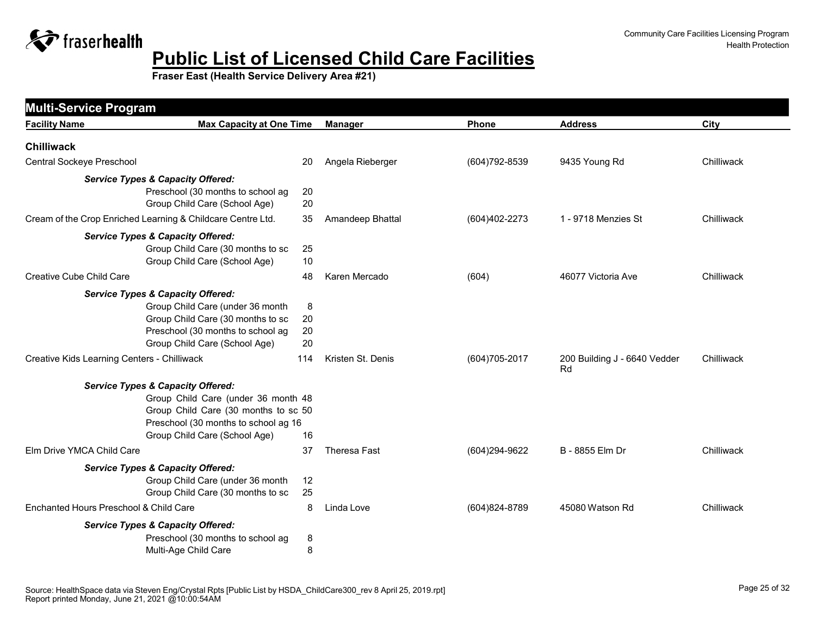

| <b>Multi-Service Program</b>                |                                                                                                                                                                                                      |                     |                   |                   |                                    |            |
|---------------------------------------------|------------------------------------------------------------------------------------------------------------------------------------------------------------------------------------------------------|---------------------|-------------------|-------------------|------------------------------------|------------|
| <b>Facility Name</b>                        | <b>Max Capacity at One Time</b>                                                                                                                                                                      |                     | <b>Manager</b>    | <b>Phone</b>      | <b>Address</b>                     | City       |
| <b>Chilliwack</b>                           |                                                                                                                                                                                                      |                     |                   |                   |                                    |            |
| Central Sockeye Preschool                   |                                                                                                                                                                                                      | 20                  | Angela Rieberger  | $(604)792 - 8539$ | 9435 Young Rd                      | Chilliwack |
|                                             | <b>Service Types &amp; Capacity Offered:</b><br>Preschool (30 months to school ag<br>Group Child Care (School Age)                                                                                   | 20<br>20            |                   |                   |                                    |            |
|                                             | Cream of the Crop Enriched Learning & Childcare Centre Ltd.                                                                                                                                          | 35                  | Amandeep Bhattal  | (604)402-2273     | 1 - 9718 Menzies St                | Chilliwack |
|                                             | <b>Service Types &amp; Capacity Offered:</b><br>Group Child Care (30 months to sc<br>Group Child Care (School Age)                                                                                   | 25<br>10            |                   |                   |                                    |            |
| Creative Cube Child Care                    |                                                                                                                                                                                                      | 48                  | Karen Mercado     | (604)             | 46077 Victoria Ave                 | Chilliwack |
|                                             | <b>Service Types &amp; Capacity Offered:</b><br>Group Child Care (under 36 month<br>Group Child Care (30 months to sc<br>Preschool (30 months to school ag<br>Group Child Care (School Age)          | 8<br>20<br>20<br>20 |                   |                   |                                    |            |
| Creative Kids Learning Centers - Chilliwack |                                                                                                                                                                                                      | 114                 | Kristen St. Denis | (604) 705-2017    | 200 Building J - 6640 Vedder<br>Rd | Chilliwack |
|                                             | <b>Service Types &amp; Capacity Offered:</b><br>Group Child Care (under 36 month 48<br>Group Child Care (30 months to sc 50<br>Preschool (30 months to school ag 16<br>Group Child Care (School Age) | 16                  |                   |                   |                                    |            |
| Elm Drive YMCA Child Care                   |                                                                                                                                                                                                      | 37                  | Theresa Fast      | (604)294-9622     | B - 8855 Elm Dr                    | Chilliwack |
|                                             | <b>Service Types &amp; Capacity Offered:</b><br>Group Child Care (under 36 month<br>Group Child Care (30 months to sc                                                                                | 12<br>25            |                   |                   |                                    |            |
| Enchanted Hours Preschool & Child Care      |                                                                                                                                                                                                      | 8                   | Linda Love        | (604)824-8789     | 45080 Watson Rd                    | Chilliwack |
|                                             | <b>Service Types &amp; Capacity Offered:</b><br>Preschool (30 months to school ag<br>Multi-Age Child Care                                                                                            | 8<br>8              |                   |                   |                                    |            |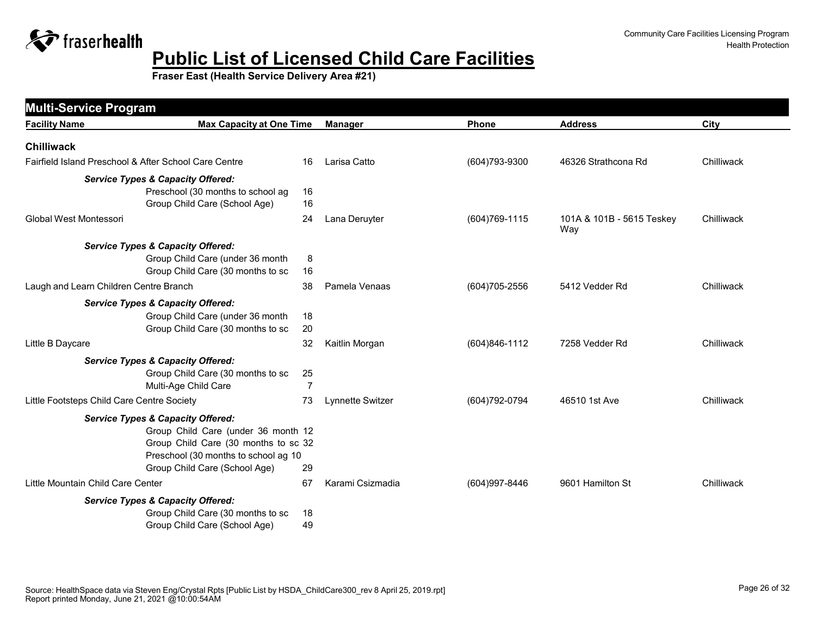

| <b>Multi-Service Program</b>               |                                                       |                |                         |                |                                  |            |
|--------------------------------------------|-------------------------------------------------------|----------------|-------------------------|----------------|----------------------------------|------------|
| <b>Facility Name</b>                       | <b>Max Capacity at One Time</b>                       |                | <b>Manager</b>          | <b>Phone</b>   | <b>Address</b>                   | City       |
| <b>Chilliwack</b>                          |                                                       |                |                         |                |                                  |            |
|                                            | Fairfield Island Preschool & After School Care Centre | 16             | Larisa Catto            | (604) 793-9300 | 46326 Strathcona Rd              | Chilliwack |
|                                            | <b>Service Types &amp; Capacity Offered:</b>          |                |                         |                |                                  |            |
|                                            | Preschool (30 months to school ag                     | 16             |                         |                |                                  |            |
|                                            | Group Child Care (School Age)                         | 16             |                         |                |                                  |            |
| <b>Global West Montessori</b>              |                                                       | 24             | Lana Deruyter           | (604) 769-1115 | 101A & 101B - 5615 Teskey<br>Way | Chilliwack |
|                                            | <b>Service Types &amp; Capacity Offered:</b>          |                |                         |                |                                  |            |
|                                            | Group Child Care (under 36 month                      | 8              |                         |                |                                  |            |
|                                            | Group Child Care (30 months to sc                     | 16             |                         |                |                                  |            |
| Laugh and Learn Children Centre Branch     |                                                       | 38             | Pamela Venaas           | (604) 705-2556 | 5412 Vedder Rd                   | Chilliwack |
|                                            | <b>Service Types &amp; Capacity Offered:</b>          |                |                         |                |                                  |            |
|                                            | Group Child Care (under 36 month                      | 18             |                         |                |                                  |            |
|                                            | Group Child Care (30 months to sc                     | 20             |                         |                |                                  |            |
| Little B Daycare                           |                                                       | 32             | Kaitlin Morgan          | (604)846-1112  | 7258 Vedder Rd                   | Chilliwack |
|                                            | <b>Service Types &amp; Capacity Offered:</b>          |                |                         |                |                                  |            |
|                                            | Group Child Care (30 months to sc                     | 25             |                         |                |                                  |            |
|                                            | Multi-Age Child Care                                  | $\overline{7}$ |                         |                |                                  |            |
| Little Footsteps Child Care Centre Society |                                                       | 73             | <b>Lynnette Switzer</b> | (604) 792-0794 | 46510 1st Ave                    | Chilliwack |
|                                            | <b>Service Types &amp; Capacity Offered:</b>          |                |                         |                |                                  |            |
|                                            | Group Child Care (under 36 month 12                   |                |                         |                |                                  |            |
|                                            | Group Child Care (30 months to sc 32                  |                |                         |                |                                  |            |
|                                            | Preschool (30 months to school ag 10                  |                |                         |                |                                  |            |
|                                            | Group Child Care (School Age)                         | 29             |                         |                |                                  |            |
| Little Mountain Child Care Center          |                                                       | 67             | Karami Csizmadia        | (604) 997-8446 | 9601 Hamilton St                 | Chilliwack |
|                                            | <b>Service Types &amp; Capacity Offered:</b>          |                |                         |                |                                  |            |
|                                            | Group Child Care (30 months to sc                     | 18             |                         |                |                                  |            |
|                                            | Group Child Care (School Age)                         | 49             |                         |                |                                  |            |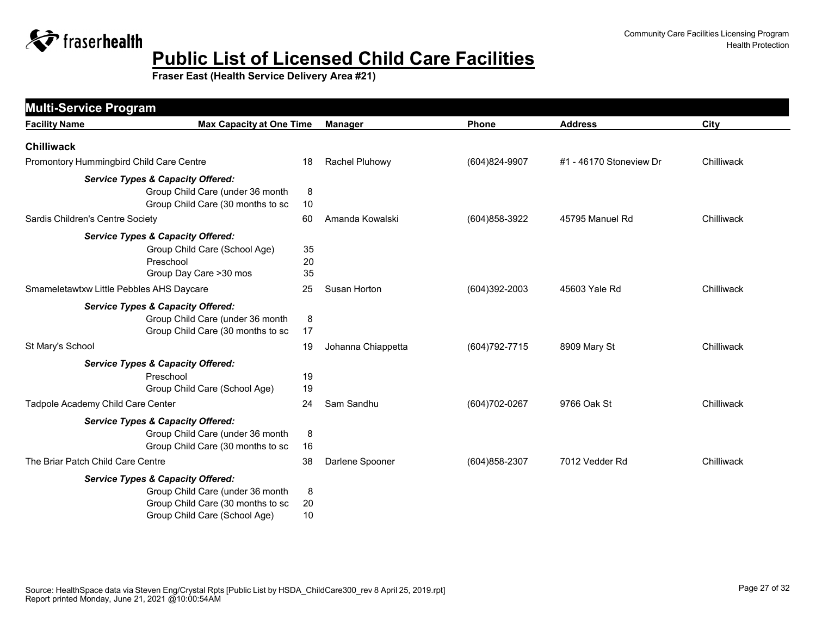

| <b>Multi-Service Program</b>                 |                                         |    |                    |                |                         |            |
|----------------------------------------------|-----------------------------------------|----|--------------------|----------------|-------------------------|------------|
| <b>Facility Name</b>                         | <b>Max Capacity at One Time</b>         |    | <b>Manager</b>     | Phone          | <b>Address</b>          | City       |
| <b>Chilliwack</b>                            |                                         |    |                    |                |                         |            |
| Promontory Hummingbird Child Care Centre     | 18                                      |    | Rachel Pluhowy     | (604)824-9907  | #1 - 46170 Stoneview Dr | Chilliwack |
| <b>Service Types &amp; Capacity Offered:</b> |                                         |    |                    |                |                         |            |
|                                              | Group Child Care (under 36 month        | 8  |                    |                |                         |            |
|                                              | Group Child Care (30 months to sc<br>10 |    |                    |                |                         |            |
| Sardis Children's Centre Society             | 60                                      |    | Amanda Kowalski    | (604) 858-3922 | 45795 Manuel Rd         | Chilliwack |
| <b>Service Types &amp; Capacity Offered:</b> |                                         |    |                    |                |                         |            |
|                                              | Group Child Care (School Age)           | 35 |                    |                |                         |            |
| Preschool                                    |                                         | 20 |                    |                |                         |            |
|                                              | Group Day Care >30 mos                  | 35 |                    |                |                         |            |
| Smameletawtxw Little Pebbles AHS Daycare     | 25                                      |    | Susan Horton       | (604)392-2003  | 45603 Yale Rd           | Chilliwack |
| <b>Service Types &amp; Capacity Offered:</b> |                                         |    |                    |                |                         |            |
|                                              | Group Child Care (under 36 month        | 8  |                    |                |                         |            |
|                                              | Group Child Care (30 months to sc<br>17 |    |                    |                |                         |            |
| St Mary's School                             | 19                                      |    | Johanna Chiappetta | (604) 792-7715 | 8909 Mary St            | Chilliwack |
| <b>Service Types &amp; Capacity Offered:</b> |                                         |    |                    |                |                         |            |
| Preschool                                    | 19                                      |    |                    |                |                         |            |
|                                              | Group Child Care (School Age)           | 19 |                    |                |                         |            |
| Tadpole Academy Child Care Center            | 24                                      |    | Sam Sandhu         | (604) 702-0267 | 9766 Oak St             | Chilliwack |
| <b>Service Types &amp; Capacity Offered:</b> |                                         |    |                    |                |                         |            |
|                                              | Group Child Care (under 36 month        | 8  |                    |                |                         |            |
|                                              | Group Child Care (30 months to sc       | 16 |                    |                |                         |            |
| The Briar Patch Child Care Centre            | 38                                      |    | Darlene Spooner    | (604) 858-2307 | 7012 Vedder Rd          | Chilliwack |
| <b>Service Types &amp; Capacity Offered:</b> |                                         |    |                    |                |                         |            |
|                                              | Group Child Care (under 36 month        | 8  |                    |                |                         |            |
|                                              | Group Child Care (30 months to sc       | 20 |                    |                |                         |            |
|                                              | Group Child Care (School Age)           | 10 |                    |                |                         |            |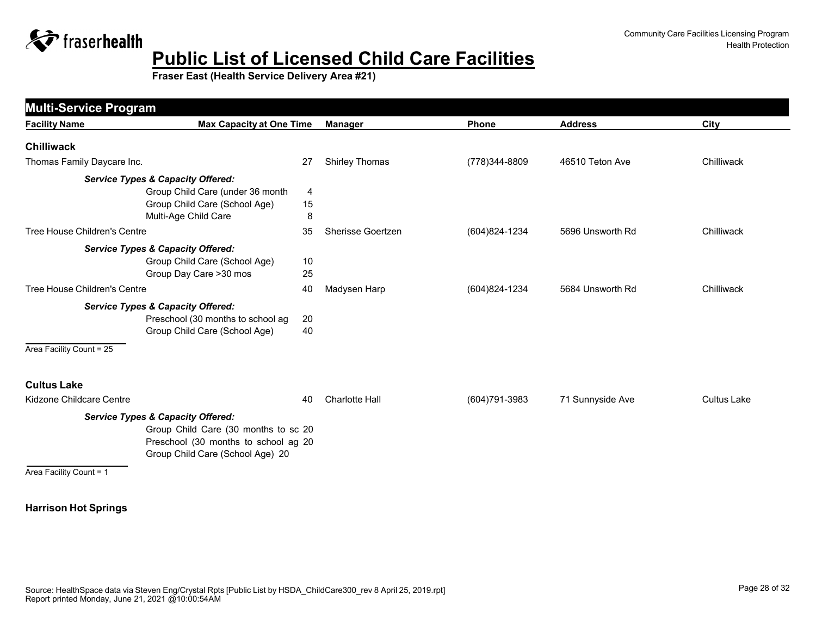

**Fraser East (Health Service Delivery Area #21)**

| <b>Multi-Service Program</b> |                                              |    |                       |                |                  |                    |
|------------------------------|----------------------------------------------|----|-----------------------|----------------|------------------|--------------------|
| <b>Facility Name</b>         | <b>Max Capacity at One Time</b>              |    | <b>Manager</b>        | Phone          | <b>Address</b>   | City               |
| <b>Chilliwack</b>            |                                              |    |                       |                |                  |                    |
| Thomas Family Daycare Inc.   |                                              | 27 | <b>Shirley Thomas</b> | (778)344-8809  | 46510 Teton Ave  | Chilliwack         |
|                              | <b>Service Types &amp; Capacity Offered:</b> |    |                       |                |                  |                    |
|                              | Group Child Care (under 36 month             | 4  |                       |                |                  |                    |
|                              | Group Child Care (School Age)                | 15 |                       |                |                  |                    |
|                              | Multi-Age Child Care                         | 8  |                       |                |                  |                    |
| Tree House Children's Centre |                                              | 35 | Sherisse Goertzen     | (604)824-1234  | 5696 Unsworth Rd | Chilliwack         |
|                              | <b>Service Types &amp; Capacity Offered:</b> |    |                       |                |                  |                    |
|                              | Group Child Care (School Age)                | 10 |                       |                |                  |                    |
|                              | Group Day Care > 30 mos                      | 25 |                       |                |                  |                    |
| Tree House Children's Centre |                                              | 40 | Madysen Harp          | (604)824-1234  | 5684 Unsworth Rd | Chilliwack         |
|                              | <b>Service Types &amp; Capacity Offered:</b> |    |                       |                |                  |                    |
|                              | Preschool (30 months to school ag            | 20 |                       |                |                  |                    |
|                              | Group Child Care (School Age)                | 40 |                       |                |                  |                    |
| Area Facility Count = 25     |                                              |    |                       |                |                  |                    |
| <b>Cultus Lake</b>           |                                              |    |                       |                |                  |                    |
| Kidzone Childcare Centre     |                                              | 40 | <b>Charlotte Hall</b> | (604) 791-3983 | 71 Sunnyside Ave | <b>Cultus Lake</b> |
|                              | <b>Service Types &amp; Capacity Offered:</b> |    |                       |                |                  |                    |
|                              | Group Child Care (30 months to sc 20         |    |                       |                |                  |                    |
|                              | Preschool (30 months to school ag 20         |    |                       |                |                  |                    |
|                              | Group Child Care (School Age) 20             |    |                       |                |                  |                    |
| Area Facility Count = 1      |                                              |    |                       |                |                  |                    |

#### **Harrison Hot Springs**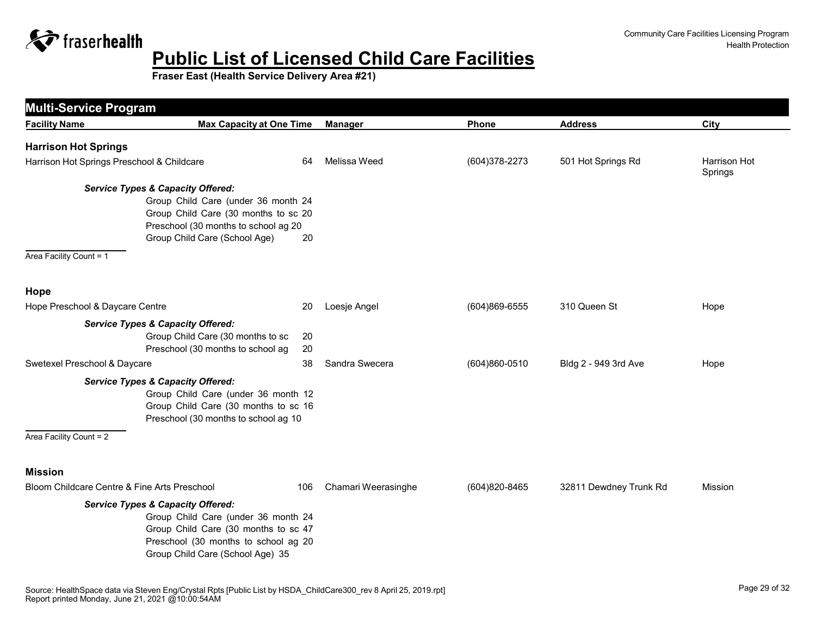

| <b>Multi-Service Program</b>                 |                                                                                                                                                                                                            |                     |               |                        |                         |
|----------------------------------------------|------------------------------------------------------------------------------------------------------------------------------------------------------------------------------------------------------------|---------------------|---------------|------------------------|-------------------------|
| <b>Facility Name</b>                         | <b>Max Capacity at One Time</b>                                                                                                                                                                            | <b>Manager</b>      | Phone         | <b>Address</b>         | City                    |
| <b>Harrison Hot Springs</b>                  |                                                                                                                                                                                                            |                     |               |                        |                         |
| Harrison Hot Springs Preschool & Childcare   | 64                                                                                                                                                                                                         | Melissa Weed        | (604)378-2273 | 501 Hot Springs Rd     | Harrison Hot<br>Springs |
| Area Facility Count = 1                      | <b>Service Types &amp; Capacity Offered:</b><br>Group Child Care (under 36 month 24<br>Group Child Care (30 months to sc 20<br>Preschool (30 months to school ag 20<br>Group Child Care (School Age)<br>20 |                     |               |                        |                         |
| Hope                                         |                                                                                                                                                                                                            |                     |               |                        |                         |
| Hope Preschool & Daycare Centre              | 20                                                                                                                                                                                                         | Loesje Angel        | (604)869-6555 | 310 Queen St           | Hope                    |
|                                              | <b>Service Types &amp; Capacity Offered:</b><br>Group Child Care (30 months to sc<br>20<br>Preschool (30 months to school ag<br>20                                                                         |                     |               |                        |                         |
| Swetexel Preschool & Daycare                 | 38                                                                                                                                                                                                         | Sandra Swecera      | (604)860-0510 | Bldg 2 - 949 3rd Ave   | Hope                    |
| Area Facility Count = 2                      | <b>Service Types &amp; Capacity Offered:</b><br>Group Child Care (under 36 month 12<br>Group Child Care (30 months to sc 16<br>Preschool (30 months to school ag 10                                        |                     |               |                        |                         |
| <b>Mission</b>                               |                                                                                                                                                                                                            |                     |               |                        |                         |
| Bloom Childcare Centre & Fine Arts Preschool | 106                                                                                                                                                                                                        | Chamari Weerasinghe | (604)820-8465 | 32811 Dewdney Trunk Rd | Mission                 |
|                                              | <b>Service Types &amp; Capacity Offered:</b><br>Group Child Care (under 36 month 24<br>Group Child Care (30 months to sc 47<br>Preschool (30 months to school ag 20<br>Group Child Care (School Age) 35    |                     |               |                        |                         |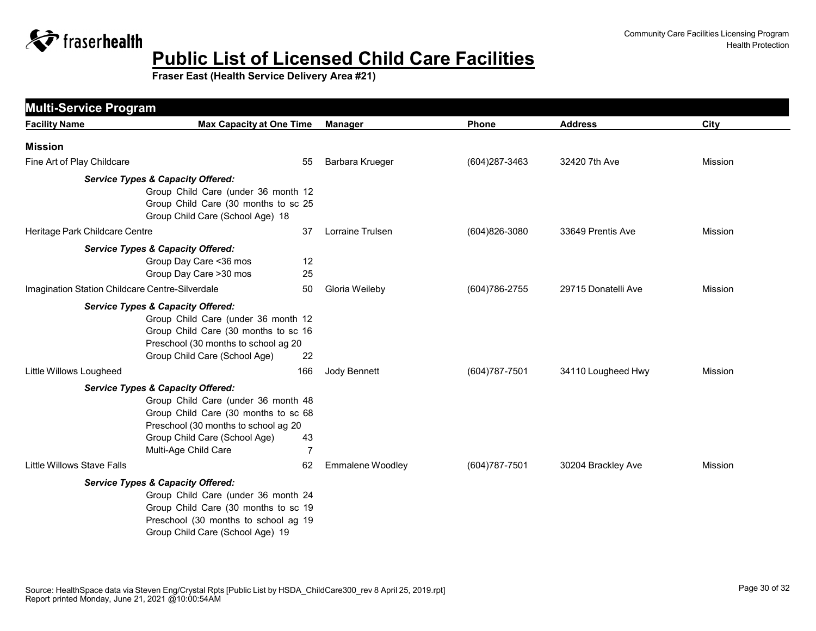

|                                                 | <b>Multi-Service Program</b>                                                                                                                                                                                                                         |                  |                   |                     |                |  |
|-------------------------------------------------|------------------------------------------------------------------------------------------------------------------------------------------------------------------------------------------------------------------------------------------------------|------------------|-------------------|---------------------|----------------|--|
| <b>Facility Name</b>                            | <b>Max Capacity at One Time</b>                                                                                                                                                                                                                      | <b>Manager</b>   | <b>Phone</b>      | <b>Address</b>      | City           |  |
| <b>Mission</b>                                  |                                                                                                                                                                                                                                                      |                  |                   |                     |                |  |
| Fine Art of Play Childcare                      | 55                                                                                                                                                                                                                                                   | Barbara Krueger  | (604) 287-3463    | 32420 7th Ave       | <b>Mission</b> |  |
|                                                 | <b>Service Types &amp; Capacity Offered:</b><br>Group Child Care (under 36 month 12<br>Group Child Care (30 months to sc 25<br>Group Child Care (School Age) 18                                                                                      |                  |                   |                     |                |  |
| Heritage Park Childcare Centre                  | 37                                                                                                                                                                                                                                                   | Lorraine Trulsen | (604)826-3080     | 33649 Prentis Ave   | <b>Mission</b> |  |
|                                                 | <b>Service Types &amp; Capacity Offered:</b><br>Group Day Care < 36 mos<br>12<br>Group Day Care > 30 mos<br>25                                                                                                                                       |                  |                   |                     |                |  |
| Imagination Station Childcare Centre-Silverdale | 50                                                                                                                                                                                                                                                   | Gloria Weileby   | (604) 786-2755    | 29715 Donatelli Ave | Mission        |  |
|                                                 | <b>Service Types &amp; Capacity Offered:</b><br>Group Child Care (under 36 month 12<br>Group Child Care (30 months to sc 16<br>Preschool (30 months to school ag 20<br>Group Child Care (School Age)<br>22                                           |                  |                   |                     |                |  |
| Little Willows Lougheed                         | 166                                                                                                                                                                                                                                                  | Jody Bennett     | (604) 787-7501    | 34110 Lougheed Hwy  | <b>Mission</b> |  |
|                                                 | <b>Service Types &amp; Capacity Offered:</b><br>Group Child Care (under 36 month 48<br>Group Child Care (30 months to sc 68<br>Preschool (30 months to school ag 20<br>Group Child Care (School Age)<br>43<br>$\overline{7}$<br>Multi-Age Child Care |                  |                   |                     |                |  |
| Little Willows Stave Falls                      | 62                                                                                                                                                                                                                                                   | Emmalene Woodley | $(604)787 - 7501$ | 30204 Brackley Ave  | Mission        |  |
|                                                 | <b>Service Types &amp; Capacity Offered:</b>                                                                                                                                                                                                         |                  |                   |                     |                |  |
|                                                 | Group Child Care (under 36 month 24<br>Group Child Care (30 months to sc 19<br>Preschool (30 months to school ag 19<br>Group Child Care (School Age) 19                                                                                              |                  |                   |                     |                |  |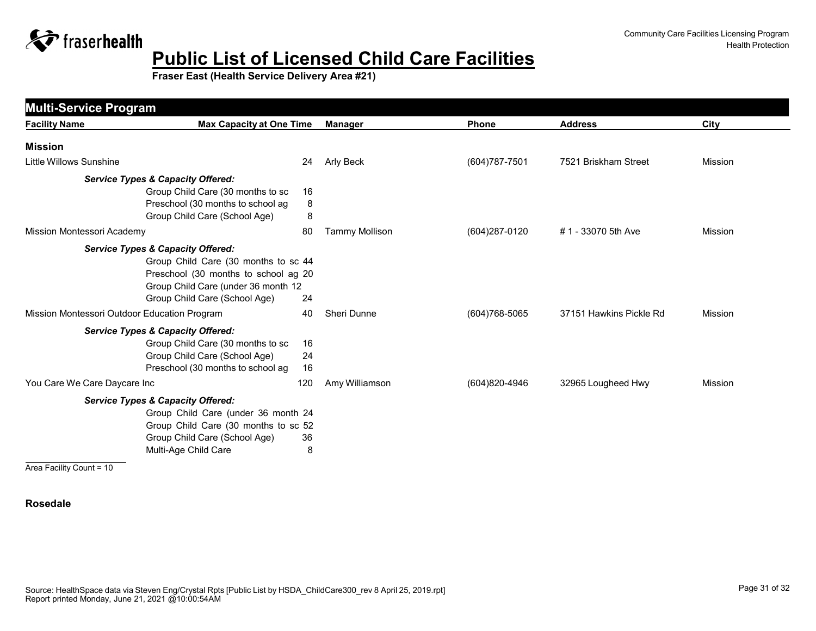

**Fraser East (Health Service Delivery Area #21)**

| <b>Multi-Service Program</b>                 |                                              |                       |                   |                         |                |
|----------------------------------------------|----------------------------------------------|-----------------------|-------------------|-------------------------|----------------|
| <b>Facility Name</b>                         | <b>Max Capacity at One Time</b>              | <b>Manager</b>        | Phone             | <b>Address</b>          | City           |
| <b>Mission</b>                               |                                              |                       |                   |                         |                |
| Little Willows Sunshine                      | 24                                           | Arly Beck             | (604) 787-7501    | 7521 Briskham Street    | <b>Mission</b> |
|                                              | <b>Service Types &amp; Capacity Offered:</b> |                       |                   |                         |                |
|                                              | Group Child Care (30 months to sc<br>16      |                       |                   |                         |                |
|                                              | Preschool (30 months to school ag<br>8       |                       |                   |                         |                |
|                                              | 8<br>Group Child Care (School Age)           |                       |                   |                         |                |
| Mission Montessori Academy                   | 80                                           | <b>Tammy Mollison</b> | (604) 287-0120    | # 1 - 33070 5th Ave     | <b>Mission</b> |
|                                              | <b>Service Types &amp; Capacity Offered:</b> |                       |                   |                         |                |
|                                              | Group Child Care (30 months to sc 44         |                       |                   |                         |                |
|                                              | Preschool (30 months to school ag 20         |                       |                   |                         |                |
|                                              | Group Child Care (under 36 month 12          |                       |                   |                         |                |
|                                              | Group Child Care (School Age)<br>24          |                       |                   |                         |                |
| Mission Montessori Outdoor Education Program | 40                                           | Sheri Dunne           | $(604)768 - 5065$ | 37151 Hawkins Pickle Rd | <b>Mission</b> |
|                                              | <b>Service Types &amp; Capacity Offered:</b> |                       |                   |                         |                |
|                                              | Group Child Care (30 months to sc<br>16      |                       |                   |                         |                |
|                                              | Group Child Care (School Age)<br>24          |                       |                   |                         |                |
|                                              | Preschool (30 months to school ag<br>16      |                       |                   |                         |                |
| You Care We Care Daycare Inc                 | 120                                          | Amy Williamson        | (604)820-4946     | 32965 Lougheed Hwy      | <b>Mission</b> |
|                                              | <b>Service Types &amp; Capacity Offered:</b> |                       |                   |                         |                |
|                                              | Group Child Care (under 36 month 24          |                       |                   |                         |                |
|                                              | Group Child Care (30 months to sc 52         |                       |                   |                         |                |
|                                              | Group Child Care (School Age)<br>36          |                       |                   |                         |                |
|                                              | Multi-Age Child Care<br>8                    |                       |                   |                         |                |
| Area Facility Count = 10                     |                                              |                       |                   |                         |                |

#### **Rosedale**